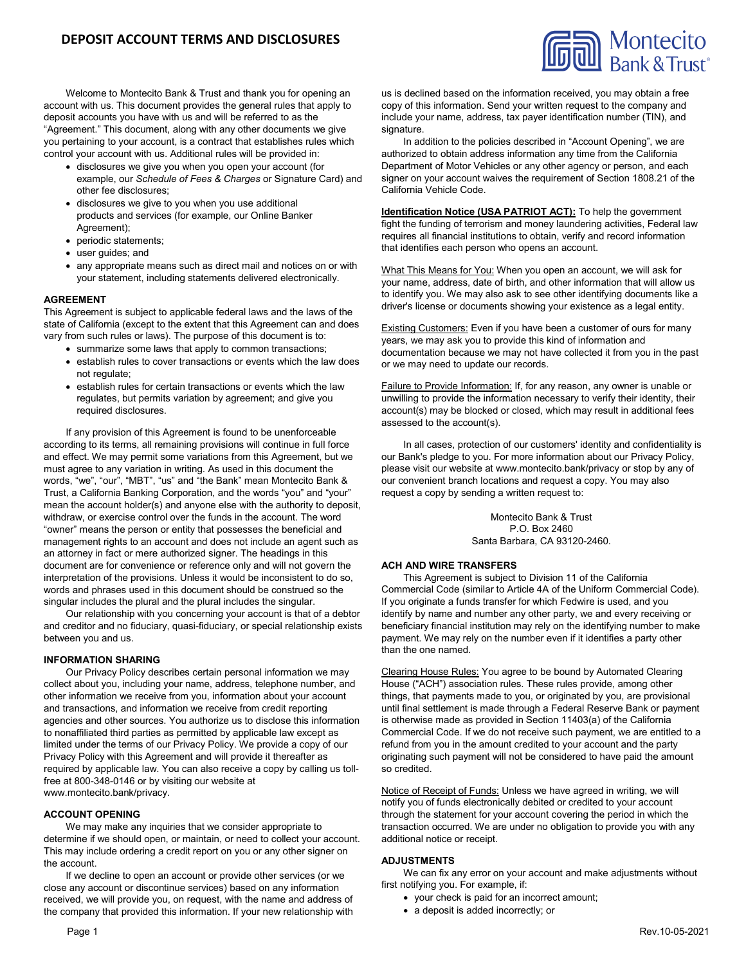

Welcome to Montecito Bank & Trust and thank you for opening an account with us. This document provides the general rules that apply to deposit accounts you have with us and will be referred to as the "Agreement." This document, along with any other documents we give you pertaining to your account, is a contract that establishes rules which control your account with us. Additional rules will be provided in:

- disclosures we give you when you open your account (for example, our *Schedule of Fees & Charges* or Signature Card) and other fee disclosures;
- disclosures we give to you when you use additional products and services (for example, our Online Banker Agreement);
- periodic statements;
- user guides; and
- any appropriate means such as direct mail and notices on or with your statement, including statements delivered electronically.

### **AGREEMENT**

This Agreement is subject to applicable federal laws and the laws of the state of California (except to the extent that this Agreement can and does vary from such rules or laws). The purpose of this document is to:

- summarize some laws that apply to common transactions;
- establish rules to cover transactions or events which the law does not regulate;
- establish rules for certain transactions or events which the law regulates, but permits variation by agreement; and give you required disclosures.

If any provision of this Agreement is found to be unenforceable according to its terms, all remaining provisions will continue in full force and effect. We may permit some variations from this Agreement, but we must agree to any variation in writing. As used in this document the words, "we", "our", "MBT", "us" and "the Bank" mean Montecito Bank & Trust, a California Banking Corporation, and the words "you" and "your" mean the account holder(s) and anyone else with the authority to deposit, withdraw, or exercise control over the funds in the account. The word "owner" means the person or entity that possesses the beneficial and management rights to an account and does not include an agent such as an attorney in fact or mere authorized signer. The headings in this document are for convenience or reference only and will not govern the interpretation of the provisions. Unless it would be inconsistent to do so, words and phrases used in this document should be construed so the singular includes the plural and the plural includes the singular.

Our relationship with you concerning your account is that of a debtor and creditor and no fiduciary, quasi-fiduciary, or special relationship exists between you and us.

#### **INFORMATION SHARING**

Our Privacy Policy describes certain personal information we may collect about you, including your name, address, telephone number, and other information we receive from you, information about your account and transactions, and information we receive from credit reporting agencies and other sources. You authorize us to disclose this information to nonaffiliated third parties as permitted by applicable law except as limited under the terms of our Privacy Policy. We provide a copy of our Privacy Policy with this Agreement and will provide it thereafter as required by applicable law. You can also receive a copy by calling us tollfree at 800-348-0146 or by visiting our website at www.montecito.bank/privacy.

### **ACCOUNT OPENING**

We may make any inquiries that we consider appropriate to determine if we should open, or maintain, or need to collect your account. This may include ordering a credit report on you or any other signer on the account.

If we decline to open an account or provide other services (or we close any account or discontinue services) based on any information received, we will provide you, on request, with the name and address of the company that provided this information. If your new relationship with us is declined based on the information received, you may obtain a free copy of this information. Send your written request to the company and include your name, address, tax payer identification number (TIN), and signature.

In addition to the policies described in "Account Opening", we are authorized to obtain address information any time from the California Department of Motor Vehicles or any other agency or person, and each signer on your account waives the requirement of Section 1808.21 of the California Vehicle Code.

**Identification Notice (USA PATRIOT ACT):** To help the government fight the funding of terrorism and money laundering activities, Federal law requires all financial institutions to obtain, verify and record information that identifies each person who opens an account.

What This Means for You: When you open an account, we will ask for your name, address, date of birth, and other information that will allow us to identify you. We may also ask to see other identifying documents like a driver's license or documents showing your existence as a legal entity.

**Existing Customers: Even if you have been a customer of ours for many** years, we may ask you to provide this kind of information and documentation because we may not have collected it from you in the past or we may need to update our records.

Failure to Provide Information: If, for any reason, any owner is unable or unwilling to provide the information necessary to verify their identity, their account(s) may be blocked or closed, which may result in additional fees assessed to the account(s).

In all cases, protection of our customers' identity and confidentiality is our Bank's pledge to you. For more information about our Privacy Policy, please visit our website at www.montecito.bank/privacy or stop by any of our convenient branch locations and request a copy. You may also request a copy by sending a written request to:

> Montecito Bank & Trust P.O. Box 2460 Santa Barbara, CA 93120-2460.

#### **ACH AND WIRE TRANSFERS**

This Agreement is subject to Division 11 of the California Commercial Code (similar to Article 4A of the Uniform Commercial Code). If you originate a funds transfer for which Fedwire is used, and you identify by name and number any other party, we and every receiving or beneficiary financial institution may rely on the identifying number to make payment. We may rely on the number even if it identifies a party other than the one named.

Clearing House Rules: You agree to be bound by Automated Clearing House ("ACH") association rules. These rules provide, among other things, that payments made to you, or originated by you, are provisional until final settlement is made through a Federal Reserve Bank or payment is otherwise made as provided in Section 11403(a) of the California Commercial Code. If we do not receive such payment, we are entitled to a refund from you in the amount credited to your account and the party originating such payment will not be considered to have paid the amount so credited.

Notice of Receipt of Funds: Unless we have agreed in writing, we will notify you of funds electronically debited or credited to your account through the statement for your account covering the period in which the transaction occurred. We are under no obligation to provide you with any additional notice or receipt.

### **ADJUSTMENTS**

We can fix any error on your account and make adjustments without first notifying you. For example, if:

- your check is paid for an incorrect amount;
- a deposit is added incorrectly; or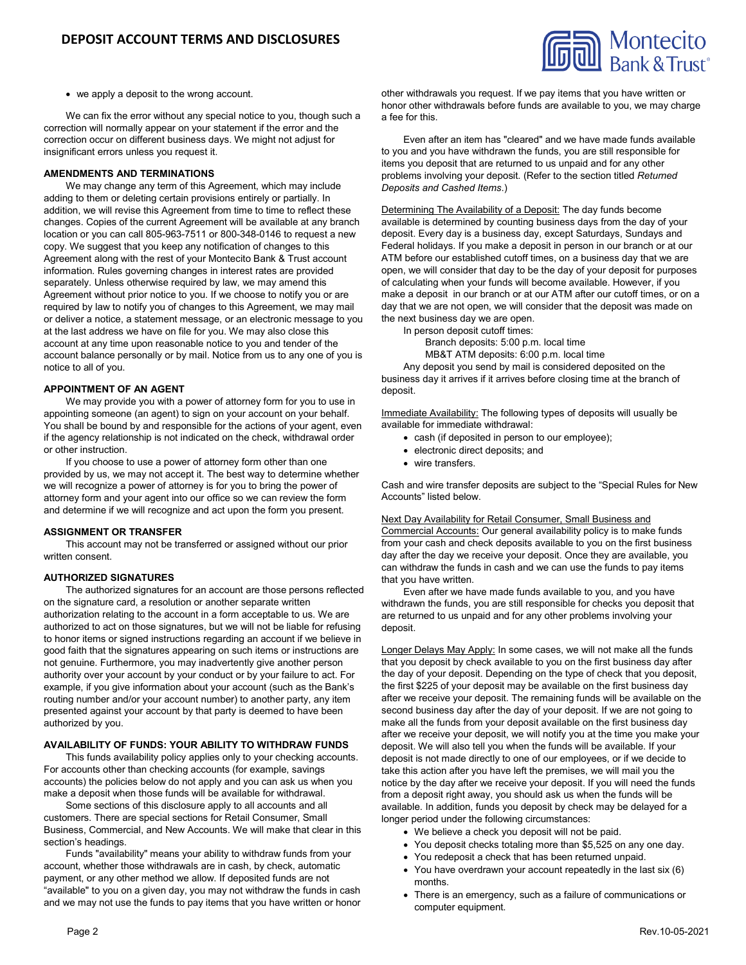

we apply a deposit to the wrong account.

We can fix the error without any special notice to you, though such a correction will normally appear on your statement if the error and the correction occur on different business days. We might not adjust for insignificant errors unless you request it.

### **AMENDMENTS AND TERMINATIONS**

We may change any term of this Agreement, which may include adding to them or deleting certain provisions entirely or partially. In addition, we will revise this Agreement from time to time to reflect these changes. Copies of the current Agreement will be available at any branch location or you can call 805-963-7511 or 800-348-0146 to request a new copy. We suggest that you keep any notification of changes to this Agreement along with the rest of your Montecito Bank & Trust account information. Rules governing changes in interest rates are provided separately. Unless otherwise required by law, we may amend this Agreement without prior notice to you. If we choose to notify you or are required by law to notify you of changes to this Agreement, we may mail or deliver a notice, a statement message, or an electronic message to you at the last address we have on file for you. We may also close this account at any time upon reasonable notice to you and tender of the account balance personally or by mail. Notice from us to any one of you is notice to all of you.

### **APPOINTMENT OF AN AGENT**

We may provide you with a power of attorney form for you to use in appointing someone (an agent) to sign on your account on your behalf. You shall be bound by and responsible for the actions of your agent, even if the agency relationship is not indicated on the check, withdrawal order or other instruction.

If you choose to use a power of attorney form other than one provided by us, we may not accept it. The best way to determine whether we will recognize a power of attorney is for you to bring the power of attorney form and your agent into our office so we can review the form and determine if we will recognize and act upon the form you present.

#### **ASSIGNMENT OR TRANSFER**

This account may not be transferred or assigned without our prior written consent.

# **AUTHORIZED SIGNATURES**

The authorized signatures for an account are those persons reflected on the signature card, a resolution or another separate written authorization relating to the account in a form acceptable to us. We are authorized to act on those signatures, but we will not be liable for refusing to honor items or signed instructions regarding an account if we believe in good faith that the signatures appearing on such items or instructions are not genuine. Furthermore, you may inadvertently give another person authority over your account by your conduct or by your failure to act. For example, if you give information about your account (such as the Bank's routing number and/or your account number) to another party, any item presented against your account by that party is deemed to have been authorized by you.

### **AVAILABILITY OF FUNDS: YOUR ABILITY TO WITHDRAW FUNDS**

This funds availability policy applies only to your checking accounts. For accounts other than checking accounts (for example, savings accounts) the policies below do not apply and you can ask us when you make a deposit when those funds will be available for withdrawal.

Some sections of this disclosure apply to all accounts and all customers. There are special sections for Retail Consumer, Small Business, Commercial, and New Accounts. We will make that clear in this section's headings.

Funds "availability" means your ability to withdraw funds from your account, whether those withdrawals are in cash, by check, automatic payment, or any other method we allow. If deposited funds are not "available" to you on a given day, you may not withdraw the funds in cash and we may not use the funds to pay items that you have written or honor other withdrawals you request. If we pay items that you have written or honor other withdrawals before funds are available to you, we may charge a fee for this.

Even after an item has "cleared" and we have made funds available to you and you have withdrawn the funds, you are still responsible for items you deposit that are returned to us unpaid and for any other problems involving your deposit. (Refer to the section titled *Returned Deposits and Cashed Items*.)

Determining The Availability of a Deposit: The day funds become available is determined by counting business days from the day of your deposit. Every day is a business day, except Saturdays, Sundays and Federal holidays. If you make a deposit in person in our branch or at our ATM before our established cutoff times, on a business day that we are open, we will consider that day to be the day of your deposit for purposes of calculating when your funds will become available. However, if you make a deposit in our branch or at our ATM after our cutoff times, or on a day that we are not open, we will consider that the deposit was made on the next business day we are open.

In person deposit cutoff times:

Branch deposits: 5:00 p.m. local time

MB&T ATM deposits: 6:00 p.m. local time

Any deposit you send by mail is considered deposited on the business day it arrives if it arrives before closing time at the branch of deposit.

Immediate Availability: The following types of deposits will usually be available for immediate withdrawal:

- cash (if deposited in person to our employee);
- electronic direct deposits; and
- wire transfers.

Cash and wire transfer deposits are subject to the "Special Rules for New Accounts" listed below.

### Next Day Availability for Retail Consumer, Small Business and

Commercial Accounts: Our general availability policy is to make funds from your cash and check deposits available to you on the first business day after the day we receive your deposit. Once they are available, you can withdraw the funds in cash and we can use the funds to pay items that you have written.

Even after we have made funds available to you, and you have withdrawn the funds, you are still responsible for checks you deposit that are returned to us unpaid and for any other problems involving your deposit.

Longer Delays May Apply: In some cases, we will not make all the funds that you deposit by check available to you on the first business day after the day of your deposit. Depending on the type of check that you deposit, the first \$225 of your deposit may be available on the first business day after we receive your deposit. The remaining funds will be available on the second business day after the day of your deposit. If we are not going to make all the funds from your deposit available on the first business day after we receive your deposit, we will notify you at the time you make your deposit. We will also tell you when the funds will be available. If your deposit is not made directly to one of our employees, or if we decide to take this action after you have left the premises, we will mail you the notice by the day after we receive your deposit. If you will need the funds from a deposit right away, you should ask us when the funds will be available. In addition, funds you deposit by check may be delayed for a longer period under the following circumstances:

- We believe a check you deposit will not be paid.
- You deposit checks totaling more than \$5,525 on any one day.
- You redeposit a check that has been returned unpaid.
- You have overdrawn your account repeatedly in the last six (6) months.
- There is an emergency, such as a failure of communications or computer equipment.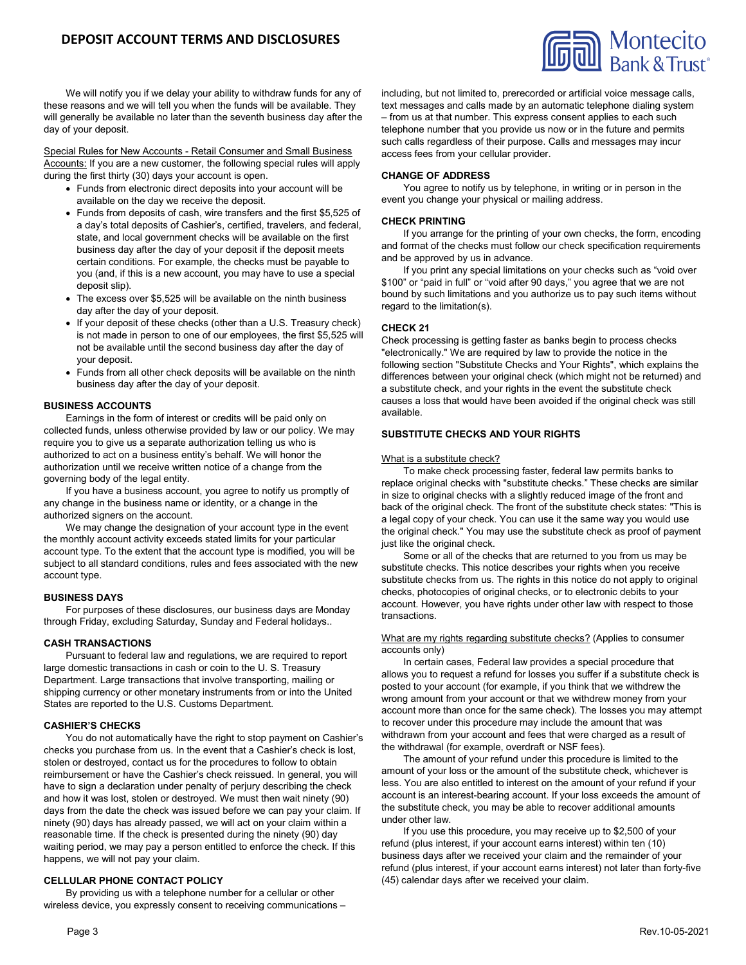

We will notify you if we delay your ability to withdraw funds for any of these reasons and we will tell you when the funds will be available. They will generally be available no later than the seventh business day after the day of your deposit.

Special Rules for New Accounts - Retail Consumer and Small Business Accounts: If you are a new customer, the following special rules will apply during the first thirty (30) days your account is open.

- Funds from electronic direct deposits into your account will be available on the day we receive the deposit.
- Funds from deposits of cash, wire transfers and the first \$5,525 of a day's total deposits of Cashier's, certified, travelers, and federal, state, and local government checks will be available on the first business day after the day of your deposit if the deposit meets certain conditions. For example, the checks must be payable to you (and, if this is a new account, you may have to use a special deposit slip).
- The excess over \$5,525 will be available on the ninth business day after the day of your deposit.
- If your deposit of these checks (other than a U.S. Treasury check) is not made in person to one of our employees, the first \$5,525 will not be available until the second business day after the day of your deposit.
- Funds from all other check deposits will be available on the ninth business day after the day of your deposit.

# **BUSINESS ACCOUNTS**

Earnings in the form of interest or credits will be paid only on collected funds, unless otherwise provided by law or our policy. We may require you to give us a separate authorization telling us who is authorized to act on a business entity's behalf. We will honor the authorization until we receive written notice of a change from the governing body of the legal entity.

If you have a business account, you agree to notify us promptly of any change in the business name or identity, or a change in the authorized signers on the account.

We may change the designation of your account type in the event the monthly account activity exceeds stated limits for your particular account type. To the extent that the account type is modified, you will be subject to all standard conditions, rules and fees associated with the new account type.

### **BUSINESS DAYS**

For purposes of these disclosures, our business days are Monday through Friday, excluding Saturday, Sunday and Federal holidays..

### **CASH TRANSACTIONS**

Pursuant to federal law and regulations, we are required to report large domestic transactions in cash or coin to the U. S. Treasury Department. Large transactions that involve transporting, mailing or shipping currency or other monetary instruments from or into the United States are reported to the U.S. Customs Department.

### **CASHIER'S CHECKS**

You do not automatically have the right to stop payment on Cashier's checks you purchase from us. In the event that a Cashier's check is lost, stolen or destroyed, contact us for the procedures to follow to obtain reimbursement or have the Cashier's check reissued. In general, you will have to sign a declaration under penalty of perjury describing the check and how it was lost, stolen or destroyed. We must then wait ninety (90) days from the date the check was issued before we can pay your claim. If ninety (90) days has already passed, we will act on your claim within a reasonable time. If the check is presented during the ninety (90) day waiting period, we may pay a person entitled to enforce the check. If this happens, we will not pay your claim.

### **CELLULAR PHONE CONTACT POLICY**

By providing us with a telephone number for a cellular or other wireless device, you expressly consent to receiving communications – including, but not limited to, prerecorded or artificial voice message calls, text messages and calls made by an automatic telephone dialing system – from us at that number. This express consent applies to each such telephone number that you provide us now or in the future and permits such calls regardless of their purpose. Calls and messages may incur access fees from your cellular provider.

### **CHANGE OF ADDRESS**

You agree to notify us by telephone, in writing or in person in the event you change your physical or mailing address.

### **CHECK PRINTING**

If you arrange for the printing of your own checks, the form, encoding and format of the checks must follow our check specification requirements and be approved by us in advance.

If you print any special limitations on your checks such as "void over \$100" or "paid in full" or "void after 90 days," you agree that we are not bound by such limitations and you authorize us to pay such items without regard to the limitation(s).

# **CHECK 21**

Check processing is getting faster as banks begin to process checks "electronically." We are required by law to provide the notice in the following section "Substitute Checks and Your Rights", which explains the differences between your original check (which might not be returned) and a substitute check, and your rights in the event the substitute check causes a loss that would have been avoided if the original check was still available.

### **SUBSTITUTE CHECKS AND YOUR RIGHTS**

#### What is a substitute check?

To make check processing faster, federal law permits banks to replace original checks with "substitute checks." These checks are similar in size to original checks with a slightly reduced image of the front and back of the original check. The front of the substitute check states: "This is a legal copy of your check. You can use it the same way you would use the original check." You may use the substitute check as proof of payment just like the original check.

Some or all of the checks that are returned to you from us may be substitute checks. This notice describes your rights when you receive substitute checks from us. The rights in this notice do not apply to original checks, photocopies of original checks, or to electronic debits to your account. However, you have rights under other law with respect to those transactions.

#### What are my rights regarding substitute checks? (Applies to consumer accounts only)

In certain cases, Federal law provides a special procedure that allows you to request a refund for losses you suffer if a substitute check is posted to your account (for example, if you think that we withdrew the wrong amount from your account or that we withdrew money from your account more than once for the same check). The losses you may attempt to recover under this procedure may include the amount that was withdrawn from your account and fees that were charged as a result of the withdrawal (for example, overdraft or NSF fees).

The amount of your refund under this procedure is limited to the amount of your loss or the amount of the substitute check, whichever is less. You are also entitled to interest on the amount of your refund if your account is an interest-bearing account. If your loss exceeds the amount of the substitute check, you may be able to recover additional amounts under other law.

If you use this procedure, you may receive up to \$2,500 of your refund (plus interest, if your account earns interest) within ten (10) business days after we received your claim and the remainder of your refund (plus interest, if your account earns interest) not later than forty-five (45) calendar days after we received your claim.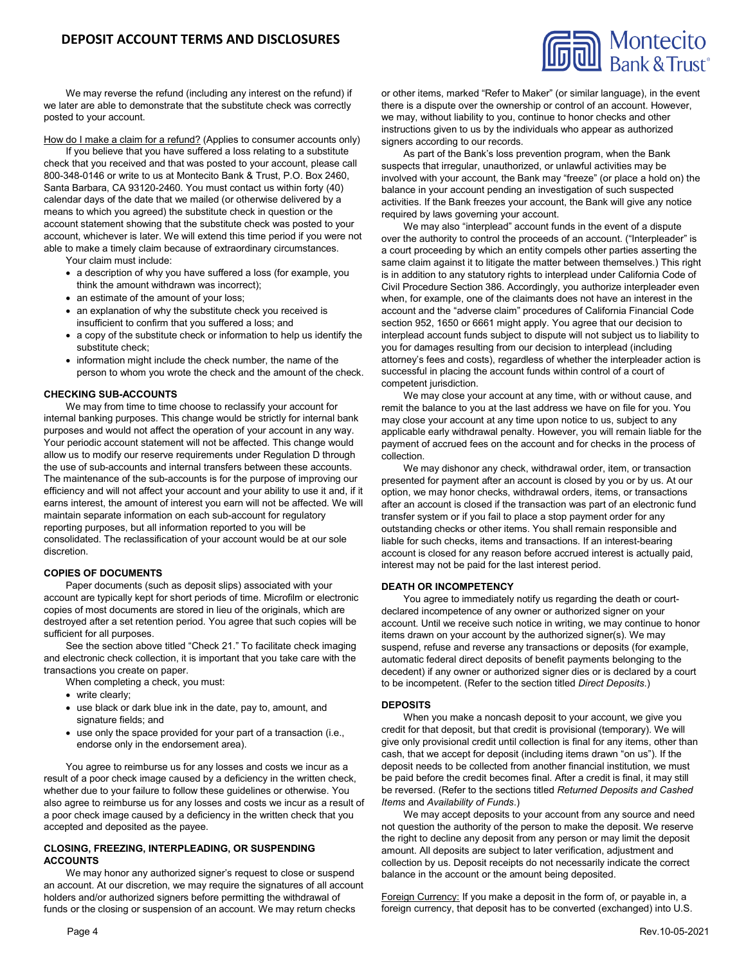

We may reverse the refund (including any interest on the refund) if we later are able to demonstrate that the substitute check was correctly posted to your account.

How do I make a claim for a refund? (Applies to consumer accounts only)

If you believe that you have suffered a loss relating to a substitute check that you received and that was posted to your account, please call 800-348-0146 or write to us at Montecito Bank & Trust, P.O. Box 2460, Santa Barbara, CA 93120-2460. You must contact us within forty (40) calendar days of the date that we mailed (or otherwise delivered by a means to which you agreed) the substitute check in question or the account statement showing that the substitute check was posted to your account, whichever is later. We will extend this time period if you were not able to make a timely claim because of extraordinary circumstances.

Your claim must include:

- a description of why you have suffered a loss (for example, you think the amount withdrawn was incorrect);
- an estimate of the amount of your loss;
- an explanation of why the substitute check you received is insufficient to confirm that you suffered a loss; and
- a copy of the substitute check or information to help us identify the substitute check;
- information might include the check number, the name of the person to whom you wrote the check and the amount of the check.

# **CHECKING SUB-ACCOUNTS**

We may from time to time choose to reclassify your account for internal banking purposes. This change would be strictly for internal bank purposes and would not affect the operation of your account in any way. Your periodic account statement will not be affected. This change would allow us to modify our reserve requirements under Regulation D through the use of sub-accounts and internal transfers between these accounts. The maintenance of the sub-accounts is for the purpose of improving our efficiency and will not affect your account and your ability to use it and, if it earns interest, the amount of interest you earn will not be affected. We will maintain separate information on each sub-account for regulatory reporting purposes, but all information reported to you will be consolidated. The reclassification of your account would be at our sole discretion.

### **COPIES OF DOCUMENTS**

Paper documents (such as deposit slips) associated with your account are typically kept for short periods of time. Microfilm or electronic copies of most documents are stored in lieu of the originals, which are destroyed after a set retention period. You agree that such copies will be sufficient for all purposes.

See the section above titled "Check 21." To facilitate check imaging and electronic check collection, it is important that you take care with the transactions you create on paper.

When completing a check, you must:

- write clearly;
- use black or dark blue ink in the date, pay to, amount, and signature fields; and
- use only the space provided for your part of a transaction (i.e., endorse only in the endorsement area).

You agree to reimburse us for any losses and costs we incur as a result of a poor check image caused by a deficiency in the written check, whether due to your failure to follow these guidelines or otherwise. You also agree to reimburse us for any losses and costs we incur as a result of a poor check image caused by a deficiency in the written check that you accepted and deposited as the payee.

### **CLOSING, FREEZING, INTERPLEADING, OR SUSPENDING ACCOUNTS**

We may honor any authorized signer's request to close or suspend an account. At our discretion, we may require the signatures of all account holders and/or authorized signers before permitting the withdrawal of funds or the closing or suspension of an account. We may return checks

or other items, marked "Refer to Maker" (or similar language), in the event there is a dispute over the ownership or control of an account. However, we may, without liability to you, continue to honor checks and other instructions given to us by the individuals who appear as authorized signers according to our records.

As part of the Bank's loss prevention program, when the Bank suspects that irregular, unauthorized, or unlawful activities may be involved with your account, the Bank may "freeze" (or place a hold on) the balance in your account pending an investigation of such suspected activities. If the Bank freezes your account, the Bank will give any notice required by laws governing your account.

We may also "interplead" account funds in the event of a dispute over the authority to control the proceeds of an account. ("Interpleader" is a court proceeding by which an entity compels other parties asserting the same claim against it to litigate the matter between themselves.) This right is in addition to any statutory rights to interplead under California Code of Civil Procedure Section 386. Accordingly, you authorize interpleader even when, for example, one of the claimants does not have an interest in the account and the "adverse claim" procedures of California Financial Code section 952, 1650 or 6661 might apply. You agree that our decision to interplead account funds subject to dispute will not subject us to liability to you for damages resulting from our decision to interplead (including attorney's fees and costs), regardless of whether the interpleader action is successful in placing the account funds within control of a court of competent jurisdiction.

We may close your account at any time, with or without cause, and remit the balance to you at the last address we have on file for you. You may close your account at any time upon notice to us, subject to any applicable early withdrawal penalty. However, you will remain liable for the payment of accrued fees on the account and for checks in the process of collection.

We may dishonor any check, withdrawal order, item, or transaction presented for payment after an account is closed by you or by us. At our option, we may honor checks, withdrawal orders, items, or transactions after an account is closed if the transaction was part of an electronic fund transfer system or if you fail to place a stop payment order for any outstanding checks or other items. You shall remain responsible and liable for such checks, items and transactions. If an interest-bearing account is closed for any reason before accrued interest is actually paid, interest may not be paid for the last interest period.

# **DEATH OR INCOMPETENCY**

You agree to immediately notify us regarding the death or courtdeclared incompetence of any owner or authorized signer on your account. Until we receive such notice in writing, we may continue to honor items drawn on your account by the authorized signer(s). We may suspend, refuse and reverse any transactions or deposits (for example, automatic federal direct deposits of benefit payments belonging to the decedent) if any owner or authorized signer dies or is declared by a court to be incompetent. (Refer to the section titled *Direct Deposits*.)

### **DEPOSITS**

When you make a noncash deposit to your account, we give you credit for that deposit, but that credit is provisional (temporary). We will give only provisional credit until collection is final for any items, other than cash, that we accept for deposit (including items drawn "on us"). If the deposit needs to be collected from another financial institution, we must be paid before the credit becomes final. After a credit is final, it may still be reversed. (Refer to the sections titled *Returned Deposits and Cashed Items* and *Availability of Funds*.)

We may accept deposits to your account from any source and need not question the authority of the person to make the deposit. We reserve the right to decline any deposit from any person or may limit the deposit amount. All deposits are subject to later verification, adjustment and collection by us. Deposit receipts do not necessarily indicate the correct balance in the account or the amount being deposited.

Foreign Currency: If you make a deposit in the form of, or payable in, a foreign currency, that deposit has to be converted (exchanged) into U.S.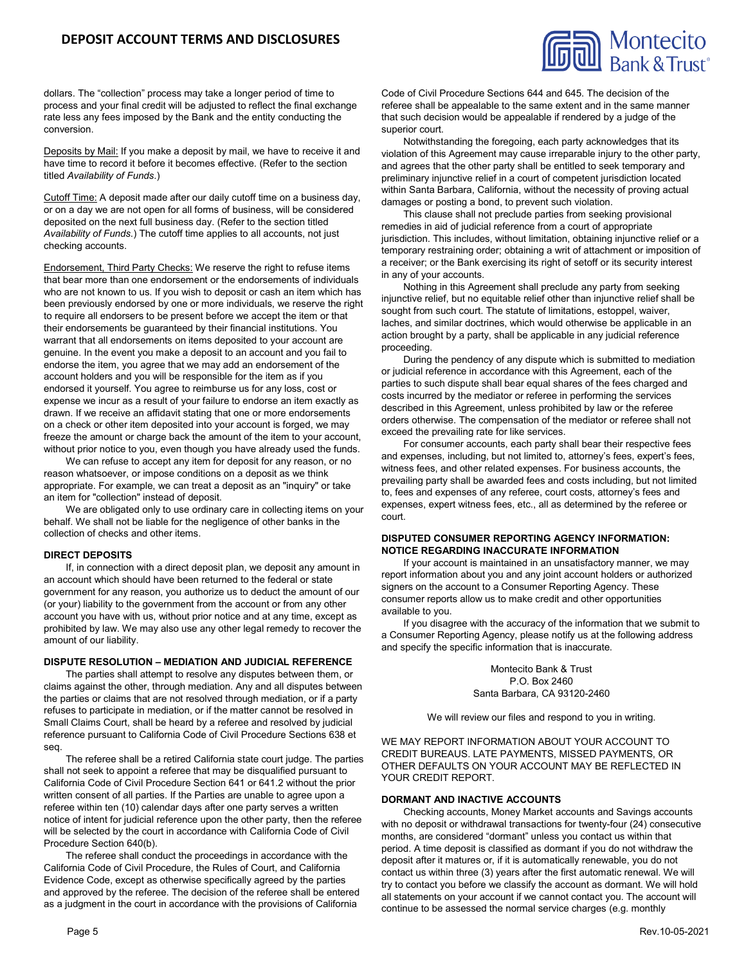# **DEPOSIT ACCOUNT TERMS AND DISCLOSURES**



dollars. The "collection" process may take a longer period of time to process and your final credit will be adjusted to reflect the final exchange rate less any fees imposed by the Bank and the entity conducting the conversion.

Deposits by Mail: If you make a deposit by mail, we have to receive it and have time to record it before it becomes effective. (Refer to the section titled *Availability of Funds*.)

Cutoff Time: A deposit made after our daily cutoff time on a business day, or on a day we are not open for all forms of business, will be considered deposited on the next full business day. (Refer to the section titled *Availability of Funds*.) The cutoff time applies to all accounts, not just checking accounts.

Endorsement, Third Party Checks: We reserve the right to refuse items that bear more than one endorsement or the endorsements of individuals who are not known to us. If you wish to deposit or cash an item which has been previously endorsed by one or more individuals, we reserve the right to require all endorsers to be present before we accept the item or that their endorsements be guaranteed by their financial institutions. You warrant that all endorsements on items deposited to your account are genuine. In the event you make a deposit to an account and you fail to endorse the item, you agree that we may add an endorsement of the account holders and you will be responsible for the item as if you endorsed it yourself. You agree to reimburse us for any loss, cost or expense we incur as a result of your failure to endorse an item exactly as drawn. If we receive an affidavit stating that one or more endorsements on a check or other item deposited into your account is forged, we may freeze the amount or charge back the amount of the item to your account, without prior notice to you, even though you have already used the funds.

We can refuse to accept any item for deposit for any reason, or no reason whatsoever, or impose conditions on a deposit as we think appropriate. For example, we can treat a deposit as an "inquiry" or take an item for "collection" instead of deposit.

We are obligated only to use ordinary care in collecting items on your behalf. We shall not be liable for the negligence of other banks in the collection of checks and other items.

### **DIRECT DEPOSITS**

If, in connection with a direct deposit plan, we deposit any amount in an account which should have been returned to the federal or state government for any reason, you authorize us to deduct the amount of our (or your) liability to the government from the account or from any other account you have with us, without prior notice and at any time, except as prohibited by law. We may also use any other legal remedy to recover the amount of our liability.

#### **DISPUTE RESOLUTION – MEDIATION AND JUDICIAL REFERENCE**

The parties shall attempt to resolve any disputes between them, or claims against the other, through mediation. Any and all disputes between the parties or claims that are not resolved through mediation, or if a party refuses to participate in mediation, or if the matter cannot be resolved in Small Claims Court, shall be heard by a referee and resolved by judicial reference pursuant to California Code of Civil Procedure Sections 638 et seq.

The referee shall be a retired California state court judge. The parties shall not seek to appoint a referee that may be disqualified pursuant to California Code of Civil Procedure Section 641 or 641.2 without the prior written consent of all parties. If the Parties are unable to agree upon a referee within ten (10) calendar days after one party serves a written notice of intent for judicial reference upon the other party, then the referee will be selected by the court in accordance with California Code of Civil Procedure Section 640(b).

The referee shall conduct the proceedings in accordance with the California Code of Civil Procedure, the Rules of Court, and California Evidence Code, except as otherwise specifically agreed by the parties and approved by the referee. The decision of the referee shall be entered as a judgment in the court in accordance with the provisions of California

Code of Civil Procedure Sections 644 and 645. The decision of the referee shall be appealable to the same extent and in the same manner that such decision would be appealable if rendered by a judge of the superior court.

Notwithstanding the foregoing, each party acknowledges that its violation of this Agreement may cause irreparable injury to the other party, and agrees that the other party shall be entitled to seek temporary and preliminary injunctive relief in a court of competent jurisdiction located within Santa Barbara, California, without the necessity of proving actual damages or posting a bond, to prevent such violation.

This clause shall not preclude parties from seeking provisional remedies in aid of judicial reference from a court of appropriate jurisdiction. This includes, without limitation, obtaining injunctive relief or a temporary restraining order; obtaining a writ of attachment or imposition of a receiver; or the Bank exercising its right of setoff or its security interest in any of your accounts.

Nothing in this Agreement shall preclude any party from seeking injunctive relief, but no equitable relief other than injunctive relief shall be sought from such court. The statute of limitations, estoppel, waiver, laches, and similar doctrines, which would otherwise be applicable in an action brought by a party, shall be applicable in any judicial reference proceeding.

During the pendency of any dispute which is submitted to mediation or judicial reference in accordance with this Agreement, each of the parties to such dispute shall bear equal shares of the fees charged and costs incurred by the mediator or referee in performing the services described in this Agreement, unless prohibited by law or the referee orders otherwise. The compensation of the mediator or referee shall not exceed the prevailing rate for like services.

For consumer accounts, each party shall bear their respective fees and expenses, including, but not limited to, attorney's fees, expert's fees, witness fees, and other related expenses. For business accounts, the prevailing party shall be awarded fees and costs including, but not limited to, fees and expenses of any referee, court costs, attorney's fees and expenses, expert witness fees, etc., all as determined by the referee or court.

### **DISPUTED CONSUMER REPORTING AGENCY INFORMATION: NOTICE REGARDING INACCURATE INFORMATION**

If your account is maintained in an unsatisfactory manner, we may report information about you and any joint account holders or authorized signers on the account to a Consumer Reporting Agency. These consumer reports allow us to make credit and other opportunities available to you.

If you disagree with the accuracy of the information that we submit to a Consumer Reporting Agency, please notify us at the following address and specify the specific information that is inaccurate.

> Montecito Bank & Trust P.O. Box 2460 Santa Barbara, CA 93120-2460

We will review our files and respond to you in writing.

WE MAY REPORT INFORMATION ABOUT YOUR ACCOUNT TO CREDIT BUREAUS. LATE PAYMENTS, MISSED PAYMENTS, OR OTHER DEFAULTS ON YOUR ACCOUNT MAY BE REFLECTED IN YOUR CREDIT REPORT.

### **DORMANT AND INACTIVE ACCOUNTS**

Checking accounts, Money Market accounts and Savings accounts with no deposit or withdrawal transactions for twenty-four (24) consecutive months, are considered "dormant" unless you contact us within that period. A time deposit is classified as dormant if you do not withdraw the deposit after it matures or, if it is automatically renewable, you do not contact us within three (3) years after the first automatic renewal. We will try to contact you before we classify the account as dormant. We will hold all statements on your account if we cannot contact you. The account will continue to be assessed the normal service charges (e.g. monthly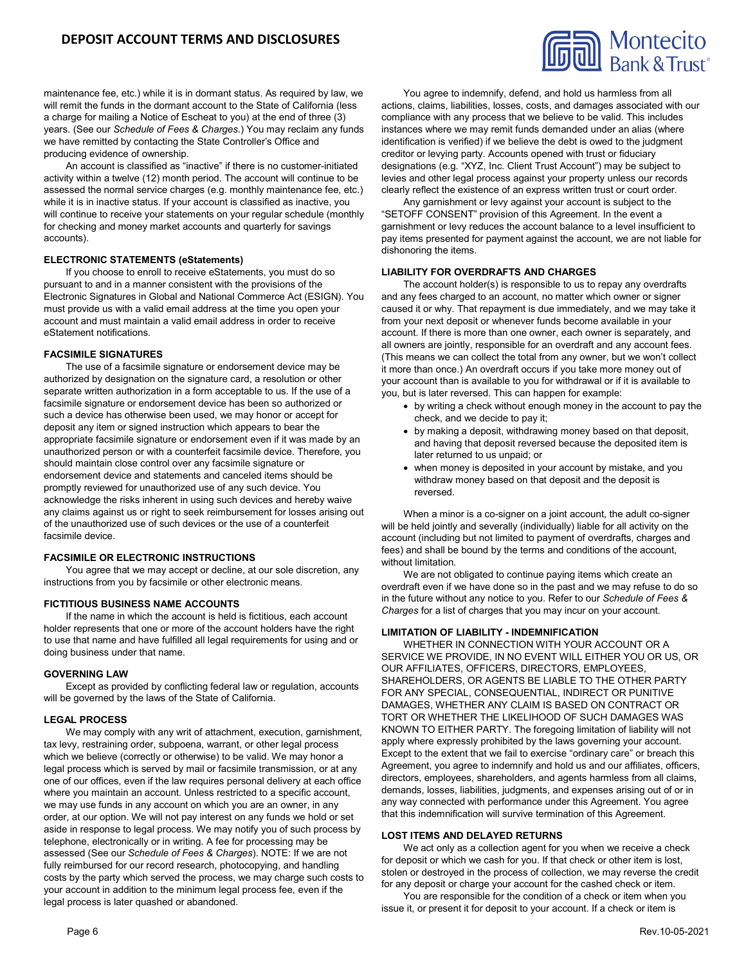maintenance fee, etc.) while it is in dormant status. As required by law, we will remit the funds in the dormant account to the State of California (less a charge for mailing a Notice of Escheat to you) at the end of three (3) years. (See our *Schedule of Fees & Charges*.) You may reclaim any funds we have remitted by contacting the State Controller's Office and producing evidence of ownership.

An account is classified as "inactive" if there is no customer-initiated activity within a twelve (12) month period. The account will continue to be assessed the normal service charges (e.g. monthly maintenance fee, etc.) while it is in inactive status. If your account is classified as inactive, you will continue to receive your statements on your regular schedule (monthly for checking and money market accounts and quarterly for savings accounts).

### **ELECTRONIC STATEMENTS (eStatements)**

If you choose to enroll to receive eStatements, you must do so pursuant to and in a manner consistent with the provisions of the Electronic Signatures in Global and National Commerce Act (ESIGN). You must provide us with a valid email address at the time you open your account and must maintain a valid email address in order to receive eStatement notifications.

### **FACSIMILE SIGNATURES**

The use of a facsimile signature or endorsement device may be authorized by designation on the signature card, a resolution or other separate written authorization in a form acceptable to us. If the use of a facsimile signature or endorsement device has been so authorized or such a device has otherwise been used, we may honor or accept for deposit any item or signed instruction which appears to bear the appropriate facsimile signature or endorsement even if it was made by an unauthorized person or with a counterfeit facsimile device. Therefore, you should maintain close control over any facsimile signature or endorsement device and statements and canceled items should be promptly reviewed for unauthorized use of any such device. You acknowledge the risks inherent in using such devices and hereby waive any claims against us or right to seek reimbursement for losses arising out of the unauthorized use of such devices or the use of a counterfeit facsimile device.

## **FACSIMILE OR ELECTRONIC INSTRUCTIONS**

You agree that we may accept or decline, at our sole discretion, any instructions from you by facsimile or other electronic means.

### **FICTITIOUS BUSINESS NAME ACCOUNTS**

If the name in which the account is held is fictitious, each account holder represents that one or more of the account holders have the right to use that name and have fulfilled all legal requirements for using and or doing business under that name.

#### **GOVERNING LAW**

Except as provided by conflicting federal law or regulation, accounts will be governed by the laws of the State of California.

### **LEGAL PROCESS**

We may comply with any writ of attachment, execution, garnishment, tax levy, restraining order, subpoena, warrant, or other legal process which we believe (correctly or otherwise) to be valid. We may honor a legal process which is served by mail or facsimile transmission, or at any one of our offices, even if the law requires personal delivery at each office where you maintain an account. Unless restricted to a specific account, we may use funds in any account on which you are an owner, in any order, at our option. We will not pay interest on any funds we hold or set aside in response to legal process. We may notify you of such process by telephone, electronically or in writing. A fee for processing may be assessed (See our *Schedule of Fees & Charges*). NOTE: If we are not fully reimbursed for our record research, photocopying, and handling costs by the party which served the process, we may charge such costs to your account in addition to the minimum legal process fee, even if the legal process is later quashed or abandoned.



You agree to indemnify, defend, and hold us harmless from all actions, claims, liabilities, losses, costs, and damages associated with our compliance with any process that we believe to be valid. This includes instances where we may remit funds demanded under an alias (where identification is verified) if we believe the debt is owed to the judgment creditor or levying party. Accounts opened with trust or fiduciary designations (e.g. "XYZ, Inc. Client Trust Account") may be subject to levies and other legal process against your property unless our records clearly reflect the existence of an express written trust or court order.

Any garnishment or levy against your account is subject to the "SETOFF CONSENT" provision of this Agreement. In the event a garnishment or levy reduces the account balance to a level insufficient to pay items presented for payment against the account, we are not liable for dishonoring the items.

#### **LIABILITY FOR OVERDRAFTS AND CHARGES**

The account holder(s) is responsible to us to repay any overdrafts and any fees charged to an account, no matter which owner or signer caused it or why. That repayment is due immediately, and we may take it from your next deposit or whenever funds become available in your account. If there is more than one owner, each owner is separately, and all owners are jointly, responsible for an overdraft and any account fees. (This means we can collect the total from any owner, but we won't collect it more than once.) An overdraft occurs if you take more money out of your account than is available to you for withdrawal or if it is available to you, but is later reversed. This can happen for example:

- by writing a check without enough money in the account to pay the check, and we decide to pay it;
- by making a deposit, withdrawing money based on that deposit, and having that deposit reversed because the deposited item is later returned to us unpaid; or
- when money is deposited in your account by mistake, and you withdraw money based on that deposit and the deposit is reversed.

When a minor is a co-signer on a joint account, the adult co-signer will be held jointly and severally (individually) liable for all activity on the account (including but not limited to payment of overdrafts, charges and fees) and shall be bound by the terms and conditions of the account, without limitation.

We are not obligated to continue paying items which create an overdraft even if we have done so in the past and we may refuse to do so in the future without any notice to you. Refer to our *Schedule of Fees & Charges* for a list of charges that you may incur on your account.

#### **LIMITATION OF LIABILITY - INDEMNIFICATION**

WHETHER IN CONNECTION WITH YOUR ACCOUNT OR A SERVICE WE PROVIDE, IN NO EVENT WILL EITHER YOU OR US, OR OUR AFFILIATES, OFFICERS, DIRECTORS, EMPLOYEES, SHAREHOLDERS, OR AGENTS BE LIABLE TO THE OTHER PARTY FOR ANY SPECIAL, CONSEQUENTIAL, INDIRECT OR PUNITIVE DAMAGES, WHETHER ANY CLAIM IS BASED ON CONTRACT OR TORT OR WHETHER THE LIKELIHOOD OF SUCH DAMAGES WAS KNOWN TO EITHER PARTY. The foregoing limitation of liability will not apply where expressly prohibited by the laws governing your account. Except to the extent that we fail to exercise "ordinary care" or breach this Agreement, you agree to indemnify and hold us and our affiliates, officers, directors, employees, shareholders, and agents harmless from all claims, demands, losses, liabilities, judgments, and expenses arising out of or in any way connected with performance under this Agreement. You agree that this indemnification will survive termination of this Agreement.

#### **LOST ITEMS AND DELAYED RETURNS**

We act only as a collection agent for you when we receive a check for deposit or which we cash for you. If that check or other item is lost, stolen or destroyed in the process of collection, we may reverse the credit for any deposit or charge your account for the cashed check or item.

You are responsible for the condition of a check or item when you issue it, or present it for deposit to your account. If a check or item is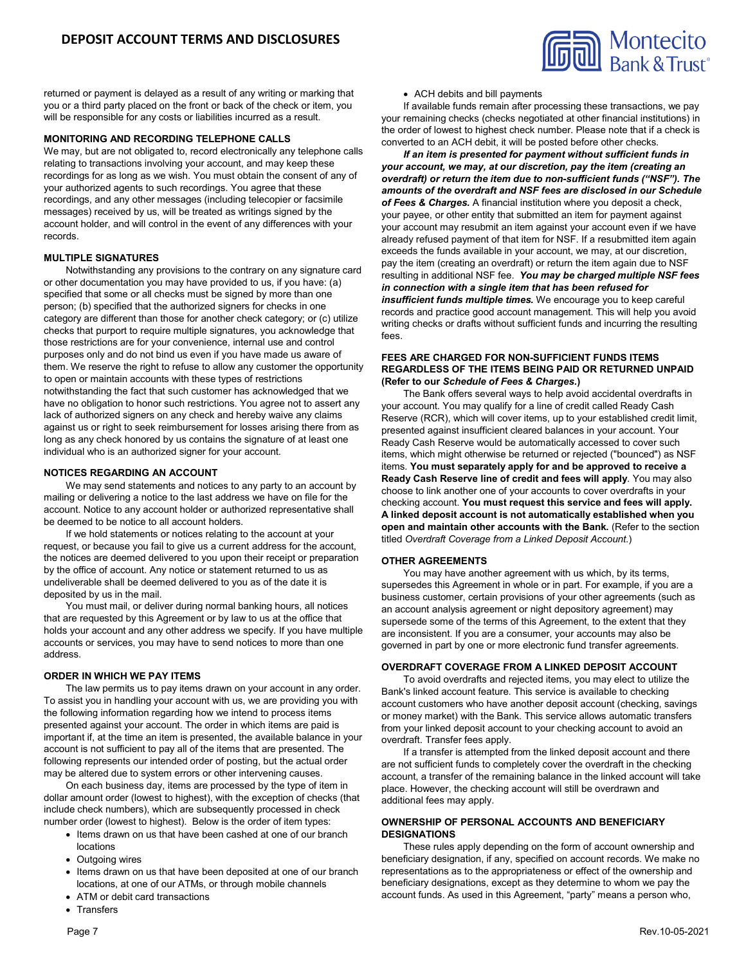

returned or payment is delayed as a result of any writing or marking that you or a third party placed on the front or back of the check or item, you will be responsible for any costs or liabilities incurred as a result.

### **MONITORING AND RECORDING TELEPHONE CALLS**

We may, but are not obligated to, record electronically any telephone calls relating to transactions involving your account, and may keep these recordings for as long as we wish. You must obtain the consent of any of your authorized agents to such recordings. You agree that these recordings, and any other messages (including telecopier or facsimile messages) received by us, will be treated as writings signed by the account holder, and will control in the event of any differences with your records.

### **MULTIPLE SIGNATURES**

Notwithstanding any provisions to the contrary on any signature card or other documentation you may have provided to us, if you have: (a) specified that some or all checks must be signed by more than one person; (b) specified that the authorized signers for checks in one category are different than those for another check category; or (c) utilize checks that purport to require multiple signatures, you acknowledge that those restrictions are for your convenience, internal use and control purposes only and do not bind us even if you have made us aware of them. We reserve the right to refuse to allow any customer the opportunity to open or maintain accounts with these types of restrictions notwithstanding the fact that such customer has acknowledged that we have no obligation to honor such restrictions. You agree not to assert any lack of authorized signers on any check and hereby waive any claims against us or right to seek reimbursement for losses arising there from as long as any check honored by us contains the signature of at least one individual who is an authorized signer for your account.

### **NOTICES REGARDING AN ACCOUNT**

We may send statements and notices to any party to an account by mailing or delivering a notice to the last address we have on file for the account. Notice to any account holder or authorized representative shall be deemed to be notice to all account holders.

If we hold statements or notices relating to the account at your request, or because you fail to give us a current address for the account, the notices are deemed delivered to you upon their receipt or preparation by the office of account. Any notice or statement returned to us as undeliverable shall be deemed delivered to you as of the date it is deposited by us in the mail.

You must mail, or deliver during normal banking hours, all notices that are requested by this Agreement or by law to us at the office that holds your account and any other address we specify. If you have multiple accounts or services, you may have to send notices to more than one address.

### **ORDER IN WHICH WE PAY ITEMS**

The law permits us to pay items drawn on your account in any order. To assist you in handling your account with us, we are providing you with the following information regarding how we intend to process items presented against your account. The order in which items are paid is important if, at the time an item is presented, the available balance in your account is not sufficient to pay all of the items that are presented. The following represents our intended order of posting, but the actual order may be altered due to system errors or other intervening causes.

On each business day, items are processed by the type of item in dollar amount order (lowest to highest), with the exception of checks (that include check numbers), which are subsequently processed in check number order (lowest to highest). Below is the order of item types:

- Items drawn on us that have been cashed at one of our branch locations
- Outgoing wires
- Items drawn on us that have been deposited at one of our branch locations, at one of our ATMs, or through mobile channels
- ATM or debit card transactions
- Transfers
- 

ACH debits and bill payments

If available funds remain after processing these transactions, we pay your remaining checks (checks negotiated at other financial institutions) in the order of lowest to highest check number. Please note that if a check is converted to an ACH debit, it will be posted before other checks.

*If an item is presented for payment without sufficient funds in your account, we may, at our discretion, pay the item (creating an overdraft) or return the item due to non-sufficient funds ("NSF"). The amounts of the overdraft and NSF fees are disclosed in our Schedule of Fees & Charges.* A financial institution where you deposit a check, your payee, or other entity that submitted an item for payment against your account may resubmit an item against your account even if we have already refused payment of that item for NSF. If a resubmitted item again exceeds the funds available in your account, we may, at our discretion, pay the item (creating an overdraft) or return the item again due to NSF resulting in additional NSF fee. *You may be charged multiple NSF fees in connection with a single item that has been refused for insufficient funds multiple times.* We encourage you to keep careful records and practice good account management. This will help you avoid writing checks or drafts without sufficient funds and incurring the resulting fees.

### **FEES ARE CHARGED FOR NON-SUFFICIENT FUNDS ITEMS REGARDLESS OF THE ITEMS BEING PAID OR RETURNED UNPAID (Refer to our** *Schedule of Fees & Charges.***)**

The Bank offers several ways to help avoid accidental overdrafts in your account. You may qualify for a line of credit called Ready Cash Reserve (RCR), which will cover items, up to your established credit limit, presented against insufficient cleared balances in your account. Your Ready Cash Reserve would be automatically accessed to cover such items, which might otherwise be returned or rejected ("bounced") as NSF items. **You must separately apply for and be approved to receive a Ready Cash Reserve line of credit and fees will apply**. You may also choose to link another one of your accounts to cover overdrafts in your checking account. **You must request this service and fees will apply. A linked deposit account is not automatically established when you open and maintain other accounts with the Bank.** (Refer to the section titled *Overdraft Coverage from a Linked Deposit Account*.)

#### **OTHER AGREEMENTS**

You may have another agreement with us which, by its terms, supersedes this Agreement in whole or in part. For example, if you are a business customer, certain provisions of your other agreements (such as an account analysis agreement or night depository agreement) may supersede some of the terms of this Agreement, to the extent that they are inconsistent. If you are a consumer, your accounts may also be governed in part by one or more electronic fund transfer agreements.

### **OVERDRAFT COVERAGE FROM A LINKED DEPOSIT ACCOUNT**

To avoid overdrafts and rejected items, you may elect to utilize the Bank's linked account feature. This service is available to checking account customers who have another deposit account (checking, savings or money market) with the Bank. This service allows automatic transfers from your linked deposit account to your checking account to avoid an overdraft. Transfer fees apply.

If a transfer is attempted from the linked deposit account and there are not sufficient funds to completely cover the overdraft in the checking account, a transfer of the remaining balance in the linked account will take place. However, the checking account will still be overdrawn and additional fees may apply.

### **OWNERSHIP OF PERSONAL ACCOUNTS AND BENEFICIARY DESIGNATIONS**

These rules apply depending on the form of account ownership and beneficiary designation, if any, specified on account records. We make no representations as to the appropriateness or effect of the ownership and beneficiary designations, except as they determine to whom we pay the account funds. As used in this Agreement, "party" means a person who,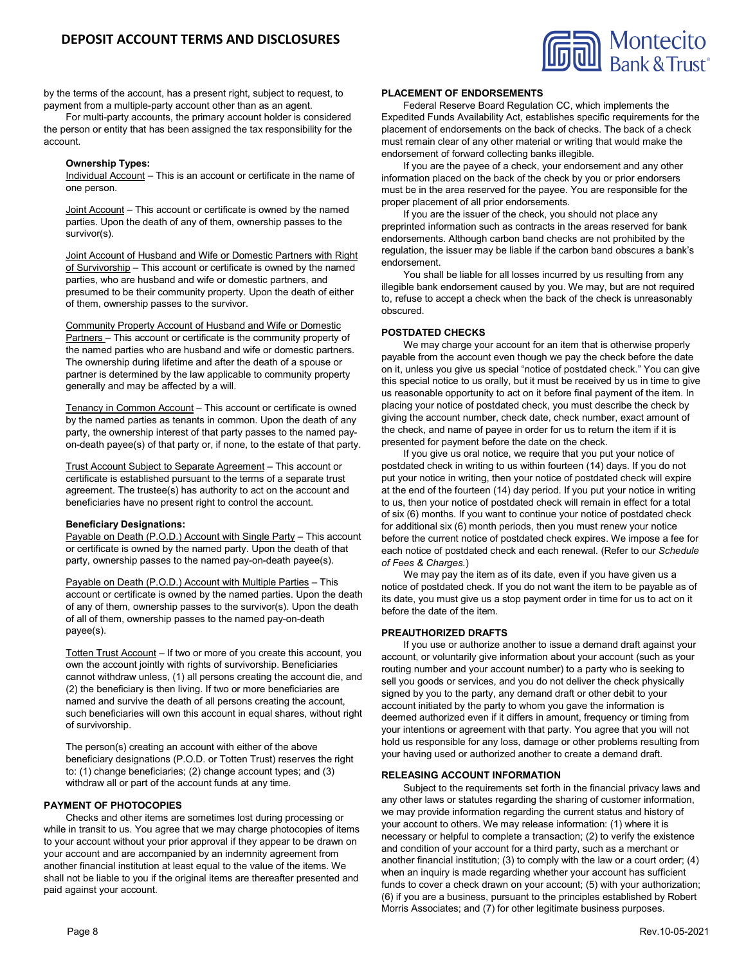

by the terms of the account, has a present right, subject to request, to payment from a multiple-party account other than as an agent.

For multi-party accounts, the primary account holder is considered the person or entity that has been assigned the tax responsibility for the account.

### **Ownership Types:**

Individual Account - This is an account or certificate in the name of one person.

Joint Account – This account or certificate is owned by the named parties. Upon the death of any of them, ownership passes to the survivor(s).

Joint Account of Husband and Wife or Domestic Partners with Right of Survivorship - This account or certificate is owned by the named parties, who are husband and wife or domestic partners, and presumed to be their community property. Upon the death of either of them, ownership passes to the survivor.

Community Property Account of Husband and Wife or Domestic Partners – This account or certificate is the community property of the named parties who are husband and wife or domestic partners. The ownership during lifetime and after the death of a spouse or partner is determined by the law applicable to community property generally and may be affected by a will.

Tenancy in Common Account – This account or certificate is owned by the named parties as tenants in common. Upon the death of any party, the ownership interest of that party passes to the named payon-death payee(s) of that party or, if none, to the estate of that party.

Trust Account Subject to Separate Agreement – This account or certificate is established pursuant to the terms of a separate trust agreement. The trustee(s) has authority to act on the account and beneficiaries have no present right to control the account.

#### **Beneficiary Designations:**

Payable on Death (P.O.D.) Account with Single Party - This account or certificate is owned by the named party. Upon the death of that party, ownership passes to the named pay-on-death payee(s).

Payable on Death (P.O.D.) Account with Multiple Parties – This account or certificate is owned by the named parties. Upon the death of any of them, ownership passes to the survivor(s). Upon the death of all of them, ownership passes to the named pay-on-death payee(s).

Totten Trust Account – If two or more of you create this account, you own the account jointly with rights of survivorship. Beneficiaries cannot withdraw unless, (1) all persons creating the account die, and (2) the beneficiary is then living. If two or more beneficiaries are named and survive the death of all persons creating the account, such beneficiaries will own this account in equal shares, without right of survivorship.

The person(s) creating an account with either of the above beneficiary designations (P.O.D. or Totten Trust) reserves the right to: (1) change beneficiaries; (2) change account types; and (3) withdraw all or part of the account funds at any time.

# **PAYMENT OF PHOTOCOPIES**

Checks and other items are sometimes lost during processing or while in transit to us. You agree that we may charge photocopies of items to your account without your prior approval if they appear to be drawn on your account and are accompanied by an indemnity agreement from another financial institution at least equal to the value of the items. We shall not be liable to you if the original items are thereafter presented and paid against your account.

#### **PLACEMENT OF ENDORSEMENTS**

Federal Reserve Board Regulation CC, which implements the Expedited Funds Availability Act, establishes specific requirements for the placement of endorsements on the back of checks. The back of a check must remain clear of any other material or writing that would make the endorsement of forward collecting banks illegible.

If you are the payee of a check, your endorsement and any other information placed on the back of the check by you or prior endorsers must be in the area reserved for the payee. You are responsible for the proper placement of all prior endorsements.

If you are the issuer of the check, you should not place any preprinted information such as contracts in the areas reserved for bank endorsements. Although carbon band checks are not prohibited by the regulation, the issuer may be liable if the carbon band obscures a bank's endorsement.

You shall be liable for all losses incurred by us resulting from any illegible bank endorsement caused by you. We may, but are not required to, refuse to accept a check when the back of the check is unreasonably obscured.

### **POSTDATED CHECKS**

We may charge your account for an item that is otherwise properly payable from the account even though we pay the check before the date on it, unless you give us special "notice of postdated check." You can give this special notice to us orally, but it must be received by us in time to give us reasonable opportunity to act on it before final payment of the item. In placing your notice of postdated check, you must describe the check by giving the account number, check date, check number, exact amount of the check, and name of payee in order for us to return the item if it is presented for payment before the date on the check.

If you give us oral notice, we require that you put your notice of postdated check in writing to us within fourteen (14) days. If you do not put your notice in writing, then your notice of postdated check will expire at the end of the fourteen (14) day period. If you put your notice in writing to us, then your notice of postdated check will remain in effect for a total of six (6) months. If you want to continue your notice of postdated check for additional six (6) month periods, then you must renew your notice before the current notice of postdated check expires. We impose a fee for each notice of postdated check and each renewal. (Refer to our *Schedule of Fees & Charges.*)

We may pay the item as of its date, even if you have given us a notice of postdated check. If you do not want the item to be payable as of its date, you must give us a stop payment order in time for us to act on it before the date of the item.

### **PREAUTHORIZED DRAFTS**

If you use or authorize another to issue a demand draft against your account, or voluntarily give information about your account (such as your routing number and your account number) to a party who is seeking to sell you goods or services, and you do not deliver the check physically signed by you to the party, any demand draft or other debit to your account initiated by the party to whom you gave the information is deemed authorized even if it differs in amount, frequency or timing from your intentions or agreement with that party. You agree that you will not hold us responsible for any loss, damage or other problems resulting from your having used or authorized another to create a demand draft.

### **RELEASING ACCOUNT INFORMATION**

Subject to the requirements set forth in the financial privacy laws and any other laws or statutes regarding the sharing of customer information, we may provide information regarding the current status and history of your account to others. We may release information: (1) where it is necessary or helpful to complete a transaction; (2) to verify the existence and condition of your account for a third party, such as a merchant or another financial institution; (3) to comply with the law or a court order; (4) when an inquiry is made regarding whether your account has sufficient funds to cover a check drawn on your account; (5) with your authorization; (6) if you are a business, pursuant to the principles established by Robert Morris Associates; and (7) for other legitimate business purposes.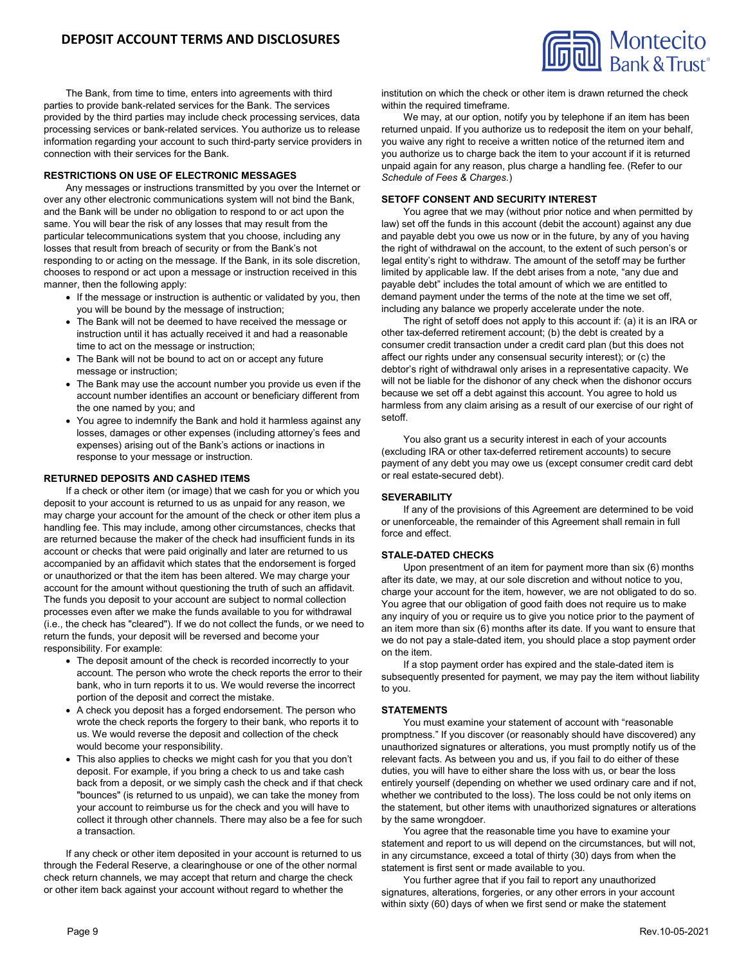

The Bank, from time to time, enters into agreements with third parties to provide bank-related services for the Bank. The services provided by the third parties may include check processing services, data processing services or bank-related services. You authorize us to release information regarding your account to such third-party service providers in connection with their services for the Bank.

### **RESTRICTIONS ON USE OF ELECTRONIC MESSAGES**

Any messages or instructions transmitted by you over the Internet or over any other electronic communications system will not bind the Bank, and the Bank will be under no obligation to respond to or act upon the same. You will bear the risk of any losses that may result from the particular telecommunications system that you choose, including any losses that result from breach of security or from the Bank's not responding to or acting on the message. If the Bank, in its sole discretion, chooses to respond or act upon a message or instruction received in this manner, then the following apply:

- If the message or instruction is authentic or validated by you, then you will be bound by the message of instruction;
- The Bank will not be deemed to have received the message or instruction until it has actually received it and had a reasonable time to act on the message or instruction;
- The Bank will not be bound to act on or accept any future message or instruction;
- The Bank may use the account number you provide us even if the account number identifies an account or beneficiary different from the one named by you; and
- You agree to indemnify the Bank and hold it harmless against any losses, damages or other expenses (including attorney's fees and expenses) arising out of the Bank's actions or inactions in response to your message or instruction.

### **RETURNED DEPOSITS AND CASHED ITEMS**

If a check or other item (or image) that we cash for you or which you deposit to your account is returned to us as unpaid for any reason, we may charge your account for the amount of the check or other item plus a handling fee. This may include, among other circumstances, checks that are returned because the maker of the check had insufficient funds in its account or checks that were paid originally and later are returned to us accompanied by an affidavit which states that the endorsement is forged or unauthorized or that the item has been altered. We may charge your account for the amount without questioning the truth of such an affidavit. The funds you deposit to your account are subject to normal collection processes even after we make the funds available to you for withdrawal (i.e., the check has "cleared"). If we do not collect the funds, or we need to return the funds, your deposit will be reversed and become your responsibility. For example:

- The deposit amount of the check is recorded incorrectly to your account. The person who wrote the check reports the error to their bank, who in turn reports it to us. We would reverse the incorrect portion of the deposit and correct the mistake.
- A check you deposit has a forged endorsement. The person who wrote the check reports the forgery to their bank, who reports it to us. We would reverse the deposit and collection of the check would become your responsibility.
- This also applies to checks we might cash for you that you don't deposit. For example, if you bring a check to us and take cash back from a deposit, or we simply cash the check and if that check "bounces" (is returned to us unpaid), we can take the money from your account to reimburse us for the check and you will have to collect it through other channels. There may also be a fee for such a transaction.

If any check or other item deposited in your account is returned to us through the Federal Reserve, a clearinghouse or one of the other normal check return channels, we may accept that return and charge the check or other item back against your account without regard to whether the

institution on which the check or other item is drawn returned the check within the required timeframe.

We may, at our option, notify you by telephone if an item has been returned unpaid. If you authorize us to redeposit the item on your behalf, you waive any right to receive a written notice of the returned item and you authorize us to charge back the item to your account if it is returned unpaid again for any reason, plus charge a handling fee. (Refer to our *Schedule of Fees & Charges.*)

### **SETOFF CONSENT AND SECURITY INTEREST**

You agree that we may (without prior notice and when permitted by law) set off the funds in this account (debit the account) against any due and payable debt you owe us now or in the future, by any of you having the right of withdrawal on the account, to the extent of such person's or legal entity's right to withdraw. The amount of the setoff may be further limited by applicable law. If the debt arises from a note, "any due and payable debt" includes the total amount of which we are entitled to demand payment under the terms of the note at the time we set off, including any balance we properly accelerate under the note.

The right of setoff does not apply to this account if: (a) it is an IRA or other tax-deferred retirement account; (b) the debt is created by a consumer credit transaction under a credit card plan (but this does not affect our rights under any consensual security interest); or (c) the debtor's right of withdrawal only arises in a representative capacity. We will not be liable for the dishonor of any check when the dishonor occurs because we set off a debt against this account. You agree to hold us harmless from any claim arising as a result of our exercise of our right of setoff.

You also grant us a security interest in each of your accounts (excluding IRA or other tax-deferred retirement accounts) to secure payment of any debt you may owe us (except consumer credit card debt or real estate-secured debt).

### **SEVERABILITY**

If any of the provisions of this Agreement are determined to be void or unenforceable, the remainder of this Agreement shall remain in full force and effect.

### **STALE-DATED CHECKS**

Upon presentment of an item for payment more than six (6) months after its date, we may, at our sole discretion and without notice to you, charge your account for the item, however, we are not obligated to do so. You agree that our obligation of good faith does not require us to make any inquiry of you or require us to give you notice prior to the payment of an item more than six (6) months after its date. If you want to ensure that we do not pay a stale-dated item, you should place a stop payment order on the item.

If a stop payment order has expired and the stale-dated item is subsequently presented for payment, we may pay the item without liability to you.

#### **STATEMENTS**

You must examine your statement of account with "reasonable promptness." If you discover (or reasonably should have discovered) any unauthorized signatures or alterations, you must promptly notify us of the relevant facts. As between you and us, if you fail to do either of these duties, you will have to either share the loss with us, or bear the loss entirely yourself (depending on whether we used ordinary care and if not, whether we contributed to the loss). The loss could be not only items on the statement, but other items with unauthorized signatures or alterations by the same wrongdoer.

You agree that the reasonable time you have to examine your statement and report to us will depend on the circumstances, but will not, in any circumstance, exceed a total of thirty (30) days from when the statement is first sent or made available to you.

You further agree that if you fail to report any unauthorized signatures, alterations, forgeries, or any other errors in your account within sixty (60) days of when we first send or make the statement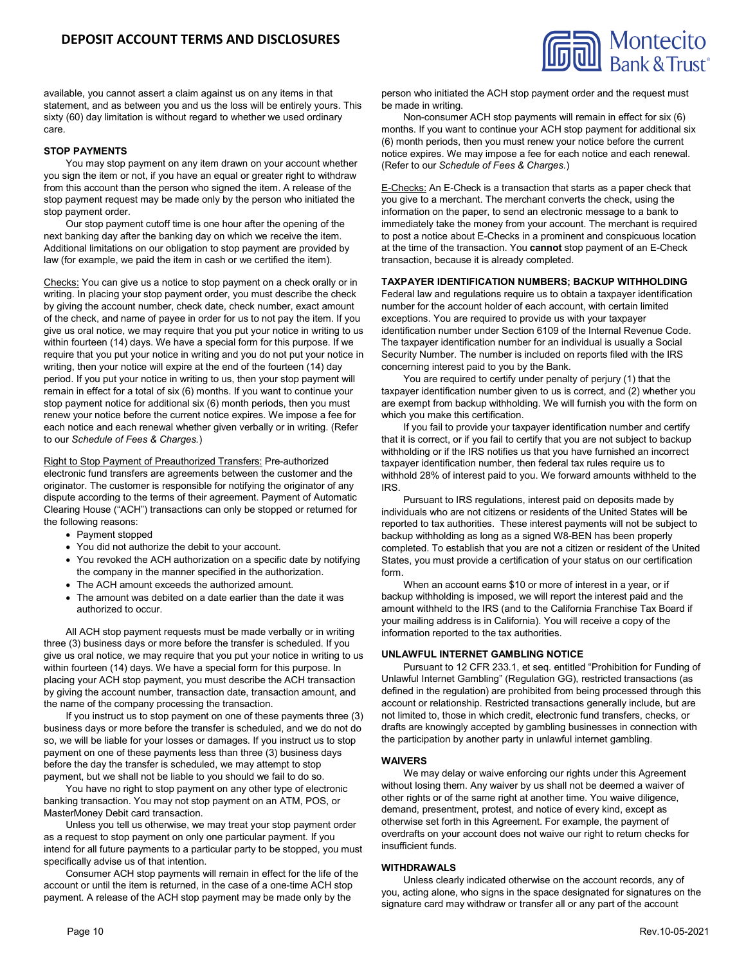

available, you cannot assert a claim against us on any items in that statement, and as between you and us the loss will be entirely yours. This sixty (60) day limitation is without regard to whether we used ordinary care.

## **STOP PAYMENTS**

You may stop payment on any item drawn on your account whether you sign the item or not, if you have an equal or greater right to withdraw from this account than the person who signed the item. A release of the stop payment request may be made only by the person who initiated the stop payment order.

Our stop payment cutoff time is one hour after the opening of the next banking day after the banking day on which we receive the item. Additional limitations on our obligation to stop payment are provided by law (for example, we paid the item in cash or we certified the item).

Checks: You can give us a notice to stop payment on a check orally or in writing. In placing your stop payment order, you must describe the check by giving the account number, check date, check number, exact amount of the check, and name of payee in order for us to not pay the item. If you give us oral notice, we may require that you put your notice in writing to us within fourteen (14) days. We have a special form for this purpose. If we require that you put your notice in writing and you do not put your notice in writing, then your notice will expire at the end of the fourteen (14) day period. If you put your notice in writing to us, then your stop payment will remain in effect for a total of six (6) months. If you want to continue your stop payment notice for additional six (6) month periods, then you must renew your notice before the current notice expires. We impose a fee for each notice and each renewal whether given verbally or in writing. (Refer to our *Schedule of Fees & Charges.*)

Right to Stop Payment of Preauthorized Transfers: Pre-authorized electronic fund transfers are agreements between the customer and the originator. The customer is responsible for notifying the originator of any dispute according to the terms of their agreement. Payment of Automatic Clearing House ("ACH") transactions can only be stopped or returned for the following reasons:

- Payment stopped
- You did not authorize the debit to your account.
- You revoked the ACH authorization on a specific date by notifying the company in the manner specified in the authorization.
- The ACH amount exceeds the authorized amount.
- The amount was debited on a date earlier than the date it was authorized to occur.

All ACH stop payment requests must be made verbally or in writing three (3) business days or more before the transfer is scheduled. If you give us oral notice, we may require that you put your notice in writing to us within fourteen (14) days. We have a special form for this purpose. In placing your ACH stop payment, you must describe the ACH transaction by giving the account number, transaction date, transaction amount, and the name of the company processing the transaction.

If you instruct us to stop payment on one of these payments three (3) business days or more before the transfer is scheduled, and we do not do so, we will be liable for your losses or damages. If you instruct us to stop payment on one of these payments less than three (3) business days before the day the transfer is scheduled, we may attempt to stop payment, but we shall not be liable to you should we fail to do so.

You have no right to stop payment on any other type of electronic banking transaction. You may not stop payment on an ATM, POS, or MasterMoney Debit card transaction.

Unless you tell us otherwise, we may treat your stop payment order as a request to stop payment on only one particular payment. If you intend for all future payments to a particular party to be stopped, you must specifically advise us of that intention.

Consumer ACH stop payments will remain in effect for the life of the account or until the item is returned, in the case of a one-time ACH stop payment. A release of the ACH stop payment may be made only by the

person who initiated the ACH stop payment order and the request must be made in writing.

Non-consumer ACH stop payments will remain in effect for six (6) months. If you want to continue your ACH stop payment for additional six (6) month periods, then you must renew your notice before the current notice expires. We may impose a fee for each notice and each renewal. (Refer to our *Schedule of Fees & Charges.*)

E-Checks: An E-Check is a transaction that starts as a paper check that you give to a merchant. The merchant converts the check, using the information on the paper, to send an electronic message to a bank to immediately take the money from your account. The merchant is required to post a notice about E-Checks in a prominent and conspicuous location at the time of the transaction. You **cannot** stop payment of an E-Check transaction, because it is already completed.

### **TAXPAYER IDENTIFICATION NUMBERS; BACKUP WITHHOLDING**

Federal law and regulations require us to obtain a taxpayer identification number for the account holder of each account, with certain limited exceptions. You are required to provide us with your taxpayer identification number under Section 6109 of the Internal Revenue Code. The taxpayer identification number for an individual is usually a Social Security Number. The number is included on reports filed with the IRS concerning interest paid to you by the Bank.

You are required to certify under penalty of perjury (1) that the taxpayer identification number given to us is correct, and (2) whether you are exempt from backup withholding. We will furnish you with the form on which you make this certification.

If you fail to provide your taxpayer identification number and certify that it is correct, or if you fail to certify that you are not subject to backup withholding or if the IRS notifies us that you have furnished an incorrect taxpayer identification number, then federal tax rules require us to withhold 28% of interest paid to you. We forward amounts withheld to the IRS.

Pursuant to IRS regulations, interest paid on deposits made by individuals who are not citizens or residents of the United States will be reported to tax authorities. These interest payments will not be subject to backup withholding as long as a signed W8-BEN has been properly completed. To establish that you are not a citizen or resident of the United States, you must provide a certification of your status on our certification form.

When an account earns \$10 or more of interest in a year, or if backup withholding is imposed, we will report the interest paid and the amount withheld to the IRS (and to the California Franchise Tax Board if your mailing address is in California). You will receive a copy of the information reported to the tax authorities.

### **UNLAWFUL INTERNET GAMBLING NOTICE**

Pursuant to 12 CFR 233.1, et seq. entitled "Prohibition for Funding of Unlawful Internet Gambling" (Regulation GG), restricted transactions (as defined in the regulation) are prohibited from being processed through this account or relationship. Restricted transactions generally include, but are not limited to, those in which credit, electronic fund transfers, checks, or drafts are knowingly accepted by gambling businesses in connection with the participation by another party in unlawful internet gambling.

### **WAIVERS**

We may delay or waive enforcing our rights under this Agreement without losing them. Any waiver by us shall not be deemed a waiver of other rights or of the same right at another time. You waive diligence, demand, presentment, protest, and notice of every kind, except as otherwise set forth in this Agreement. For example, the payment of overdrafts on your account does not waive our right to return checks for insufficient funds.

### **WITHDRAWALS**

Unless clearly indicated otherwise on the account records, any of you, acting alone, who signs in the space designated for signatures on the signature card may withdraw or transfer all or any part of the account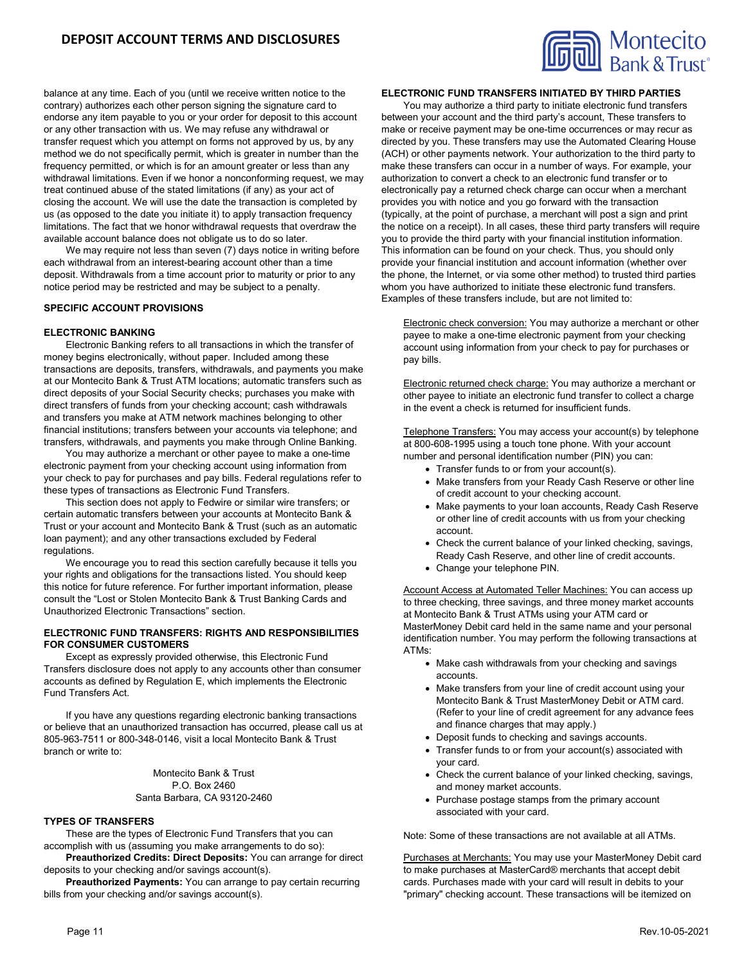

balance at any time. Each of you (until we receive written notice to the contrary) authorizes each other person signing the signature card to endorse any item payable to you or your order for deposit to this account or any other transaction with us. We may refuse any withdrawal or transfer request which you attempt on forms not approved by us, by any method we do not specifically permit, which is greater in number than the frequency permitted, or which is for an amount greater or less than any withdrawal limitations. Even if we honor a nonconforming request, we may treat continued abuse of the stated limitations (if any) as your act of closing the account. We will use the date the transaction is completed by us (as opposed to the date you initiate it) to apply transaction frequency limitations. The fact that we honor withdrawal requests that overdraw the available account balance does not obligate us to do so later.

We may require not less than seven (7) days notice in writing before each withdrawal from an interest-bearing account other than a time deposit. Withdrawals from a time account prior to maturity or prior to any notice period may be restricted and may be subject to a penalty.

### **SPECIFIC ACCOUNT PROVISIONS**

### **ELECTRONIC BANKING**

Electronic Banking refers to all transactions in which the transfer of money begins electronically, without paper. Included among these transactions are deposits, transfers, withdrawals, and payments you make at our Montecito Bank & Trust ATM locations; automatic transfers such as direct deposits of your Social Security checks; purchases you make with direct transfers of funds from your checking account; cash withdrawals and transfers you make at ATM network machines belonging to other financial institutions; transfers between your accounts via telephone; and transfers, withdrawals, and payments you make through Online Banking.

You may authorize a merchant or other payee to make a one-time electronic payment from your checking account using information from your check to pay for purchases and pay bills. Federal regulations refer to these types of transactions as Electronic Fund Transfers.

This section does not apply to Fedwire or similar wire transfers; or certain automatic transfers between your accounts at Montecito Bank & Trust or your account and Montecito Bank & Trust (such as an automatic loan payment); and any other transactions excluded by Federal regulations.

We encourage you to read this section carefully because it tells you your rights and obligations for the transactions listed. You should keep this notice for future reference. For further important information, please consult the "Lost or Stolen Montecito Bank & Trust Banking Cards and Unauthorized Electronic Transactions" section.

# **ELECTRONIC FUND TRANSFERS: RIGHTS AND RESPONSIBILITIES FOR CONSUMER CUSTOMERS**

Except as expressly provided otherwise, this Electronic Fund Transfers disclosure does not apply to any accounts other than consumer accounts as defined by Regulation E, which implements the Electronic Fund Transfers Act.

If you have any questions regarding electronic banking transactions or believe that an unauthorized transaction has occurred, please call us at 805-963-7511 or 800-348-0146, visit a local Montecito Bank & Trust branch or write to:

> Montecito Bank & Trust P.O. Box 2460 Santa Barbara, CA 93120-2460

#### **TYPES OF TRANSFERS**

These are the types of Electronic Fund Transfers that you can accomplish with us (assuming you make arrangements to do so):

**Preauthorized Credits: Direct Deposits:** You can arrange for direct deposits to your checking and/or savings account(s).

**Preauthorized Payments:** You can arrange to pay certain recurring bills from your checking and/or savings account(s).

### **ELECTRONIC FUND TRANSFERS INITIATED BY THIRD PARTIES**

You may authorize a third party to initiate electronic fund transfers between your account and the third party's account, These transfers to make or receive payment may be one-time occurrences or may recur as directed by you. These transfers may use the Automated Clearing House (ACH) or other payments network. Your authorization to the third party to make these transfers can occur in a number of ways. For example, your authorization to convert a check to an electronic fund transfer or to electronically pay a returned check charge can occur when a merchant provides you with notice and you go forward with the transaction (typically, at the point of purchase, a merchant will post a sign and print the notice on a receipt). In all cases, these third party transfers will require you to provide the third party with your financial institution information. This information can be found on your check. Thus, you should only provide your financial institution and account information (whether over the phone, the Internet, or via some other method) to trusted third parties whom you have authorized to initiate these electronic fund transfers. Examples of these transfers include, but are not limited to:

Electronic check conversion: You may authorize a merchant or other payee to make a one-time electronic payment from your checking account using information from your check to pay for purchases or pay bills.

Electronic returned check charge: You may authorize a merchant or other payee to initiate an electronic fund transfer to collect a charge in the event a check is returned for insufficient funds.

Telephone Transfers: You may access your account(s) by telephone at 800-608-1995 using a touch tone phone. With your account number and personal identification number (PIN) you can:

- Transfer funds to or from your account(s).
- Make transfers from your Ready Cash Reserve or other line of credit account to your checking account.
- Make payments to your loan accounts, Ready Cash Reserve or other line of credit accounts with us from your checking account.
- Check the current balance of your linked checking, savings, Ready Cash Reserve, and other line of credit accounts.
- Change your telephone PIN.

Account Access at Automated Teller Machines: You can access up to three checking, three savings, and three money market accounts at Montecito Bank & Trust ATMs using your ATM card or MasterMoney Debit card held in the same name and your personal identification number. You may perform the following transactions at ATMs:

- Make cash withdrawals from your checking and savings accounts.
- Make transfers from your line of credit account using your Montecito Bank & Trust MasterMoney Debit or ATM card. (Refer to your line of credit agreement for any advance fees and finance charges that may apply.)
- Deposit funds to checking and savings accounts.
- Transfer funds to or from your account(s) associated with your card.
- Check the current balance of your linked checking, savings, and money market accounts.
- Purchase postage stamps from the primary account associated with your card.

Note: Some of these transactions are not available at all ATMs.

Purchases at Merchants: You may use your MasterMoney Debit card to make purchases at MasterCard® merchants that accept debit cards. Purchases made with your card will result in debits to your "primary" checking account. These transactions will be itemized on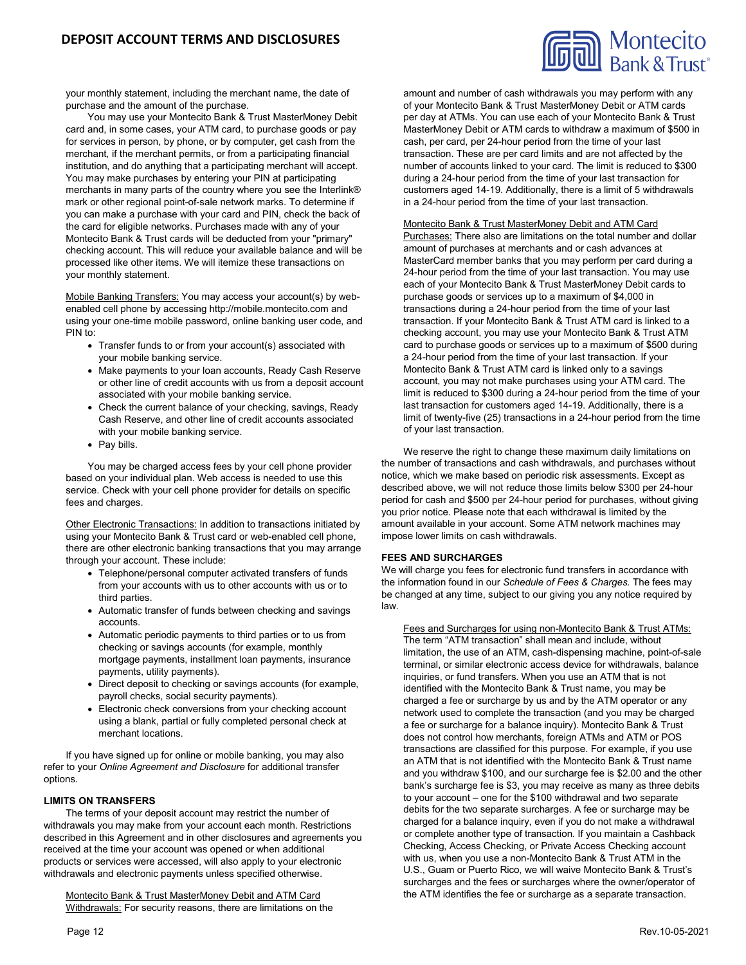

your monthly statement, including the merchant name, the date of purchase and the amount of the purchase.

You may use your Montecito Bank & Trust MasterMoney Debit card and, in some cases, your ATM card, to purchase goods or pay for services in person, by phone, or by computer, get cash from the merchant, if the merchant permits, or from a participating financial institution, and do anything that a participating merchant will accept. You may make purchases by entering your PIN at participating merchants in many parts of the country where you see the Interlink® mark or other regional point-of-sale network marks. To determine if you can make a purchase with your card and PIN, check the back of the card for eligible networks. Purchases made with any of your Montecito Bank & Trust cards will be deducted from your "primary" checking account. This will reduce your available balance and will be processed like other items. We will itemize these transactions on your monthly statement.

Mobile Banking Transfers: You may access your account(s) by webenabled cell phone by accessing http://mobile.montecito.com and using your one-time mobile password, online banking user code, and PIN to:

- Transfer funds to or from your account(s) associated with your mobile banking service.
- Make payments to your loan accounts, Ready Cash Reserve or other line of credit accounts with us from a deposit account associated with your mobile banking service.
- Check the current balance of your checking, savings, Ready Cash Reserve, and other line of credit accounts associated with your mobile banking service.
- Pay bills.

You may be charged access fees by your cell phone provider based on your individual plan. Web access is needed to use this service. Check with your cell phone provider for details on specific fees and charges.

Other Electronic Transactions: In addition to transactions initiated by using your Montecito Bank & Trust card or web-enabled cell phone, there are other electronic banking transactions that you may arrange through your account. These include:

- Telephone/personal computer activated transfers of funds from your accounts with us to other accounts with us or to third parties.
- Automatic transfer of funds between checking and savings accounts.
- Automatic periodic payments to third parties or to us from checking or savings accounts (for example, monthly mortgage payments, installment loan payments, insurance payments, utility payments).
- Direct deposit to checking or savings accounts (for example, payroll checks, social security payments).
- Electronic check conversions from your checking account using a blank, partial or fully completed personal check at merchant locations.

If you have signed up for online or mobile banking, you may also refer to your *Online Agreement and Disclosure* for additional transfer options.

### **LIMITS ON TRANSFERS**

The terms of your deposit account may restrict the number of withdrawals you may make from your account each month. Restrictions described in this Agreement and in other disclosures and agreements you received at the time your account was opened or when additional products or services were accessed, will also apply to your electronic withdrawals and electronic payments unless specified otherwise.

Montecito Bank & Trust MasterMoney Debit and ATM Card Withdrawals: For security reasons, there are limitations on the amount and number of cash withdrawals you may perform with any of your Montecito Bank & Trust MasterMoney Debit or ATM cards per day at ATMs. You can use each of your Montecito Bank & Trust MasterMoney Debit or ATM cards to withdraw a maximum of \$500 in cash, per card, per 24-hour period from the time of your last transaction. These are per card limits and are not affected by the number of accounts linked to your card. The limit is reduced to \$300 during a 24-hour period from the time of your last transaction for customers aged 14-19. Additionally, there is a limit of 5 withdrawals in a 24-hour period from the time of your last transaction.

# Montecito Bank & Trust MasterMoney Debit and ATM Card

Purchases: There also are limitations on the total number and dollar amount of purchases at merchants and or cash advances at MasterCard member banks that you may perform per card during a 24-hour period from the time of your last transaction. You may use each of your Montecito Bank & Trust MasterMoney Debit cards to purchase goods or services up to a maximum of \$4,000 in transactions during a 24-hour period from the time of your last transaction. If your Montecito Bank & Trust ATM card is linked to a checking account, you may use your Montecito Bank & Trust ATM card to purchase goods or services up to a maximum of \$500 during a 24-hour period from the time of your last transaction. If your Montecito Bank & Trust ATM card is linked only to a savings account, you may not make purchases using your ATM card. The limit is reduced to \$300 during a 24-hour period from the time of your last transaction for customers aged 14-19. Additionally, there is a limit of twenty-five (25) transactions in a 24-hour period from the time of your last transaction.

We reserve the right to change these maximum daily limitations on the number of transactions and cash withdrawals, and purchases without notice, which we make based on periodic risk assessments. Except as described above, we will not reduce those limits below \$300 per 24-hour period for cash and \$500 per 24-hour period for purchases, without giving you prior notice. Please note that each withdrawal is limited by the amount available in your account. Some ATM network machines may impose lower limits on cash withdrawals.

# **FEES AND SURCHARGES**

We will charge you fees for electronic fund transfers in accordance with the information found in our *Schedule of Fees & Charges.* The fees may be changed at any time, subject to our giving you any notice required by law.

Fees and Surcharges for using non-Montecito Bank & Trust ATMs: The term "ATM transaction" shall mean and include, without limitation, the use of an ATM, cash-dispensing machine, point-of-sale terminal, or similar electronic access device for withdrawals, balance inquiries, or fund transfers. When you use an ATM that is not identified with the Montecito Bank & Trust name, you may be charged a fee or surcharge by us and by the ATM operator or any network used to complete the transaction (and you may be charged a fee or surcharge for a balance inquiry). Montecito Bank & Trust does not control how merchants, foreign ATMs and ATM or POS transactions are classified for this purpose. For example, if you use an ATM that is not identified with the Montecito Bank & Trust name and you withdraw \$100, and our surcharge fee is \$2.00 and the other bank's surcharge fee is \$3, you may receive as many as three debits to your account – one for the \$100 withdrawal and two separate debits for the two separate surcharges. A fee or surcharge may be charged for a balance inquiry, even if you do not make a withdrawal or complete another type of transaction. If you maintain a Cashback Checking, Access Checking, or Private Access Checking account with us, when you use a non-Montecito Bank & Trust ATM in the U.S., Guam or Puerto Rico, we will waive Montecito Bank & Trust's surcharges and the fees or surcharges where the owner/operator of the ATM identifies the fee or surcharge as a separate transaction.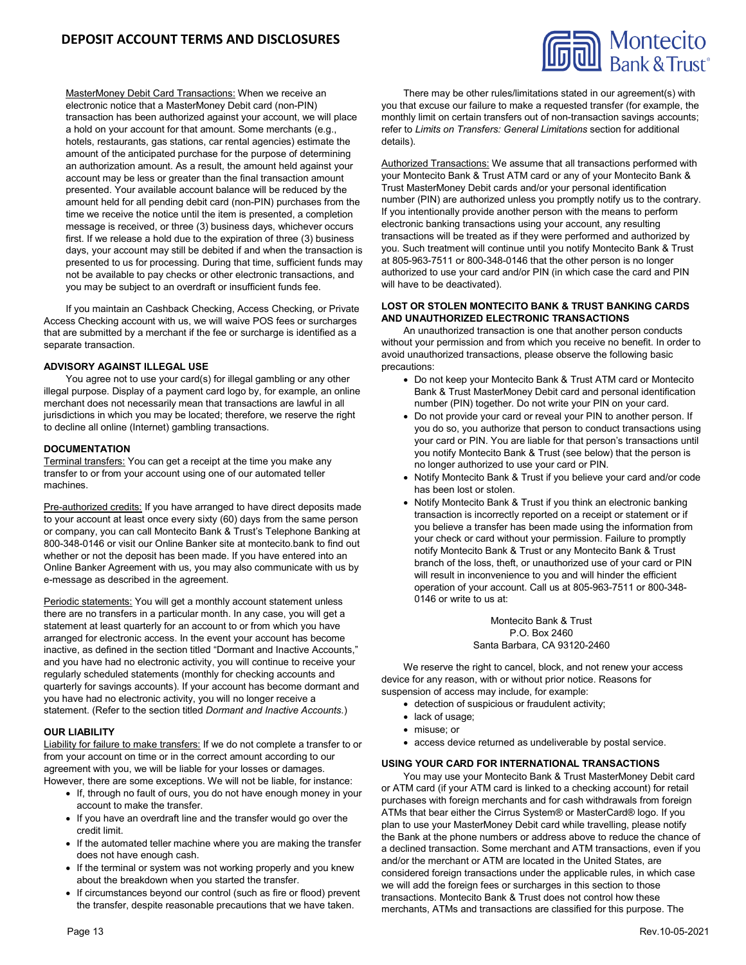# **DEPOSIT ACCOUNT TERMS AND DISCLOSURES**



MasterMoney Debit Card Transactions: When we receive an electronic notice that a MasterMoney Debit card (non-PIN) transaction has been authorized against your account, we will place a hold on your account for that amount. Some merchants (e.g., hotels, restaurants, gas stations, car rental agencies) estimate the amount of the anticipated purchase for the purpose of determining an authorization amount. As a result, the amount held against your account may be less or greater than the final transaction amount presented. Your available account balance will be reduced by the amount held for all pending debit card (non-PIN) purchases from the time we receive the notice until the item is presented, a completion message is received, or three (3) business days, whichever occurs first. If we release a hold due to the expiration of three (3) business days, your account may still be debited if and when the transaction is presented to us for processing. During that time, sufficient funds may not be available to pay checks or other electronic transactions, and you may be subject to an overdraft or insufficient funds fee.

If you maintain an Cashback Checking, Access Checking, or Private Access Checking account with us, we will waive POS fees or surcharges that are submitted by a merchant if the fee or surcharge is identified as a separate transaction.

### **ADVISORY AGAINST ILLEGAL USE**

You agree not to use your card(s) for illegal gambling or any other illegal purpose. Display of a payment card logo by, for example, an online merchant does not necessarily mean that transactions are lawful in all jurisdictions in which you may be located; therefore, we reserve the right to decline all online (Internet) gambling transactions.

# **DOCUMENTATION**

Terminal transfers: You can get a receipt at the time you make any transfer to or from your account using one of our automated teller machines.

Pre-authorized credits: If you have arranged to have direct deposits made to your account at least once every sixty (60) days from the same person or company, you can call Montecito Bank & Trust's Telephone Banking at 800-348-0146 or visit our Online Banker site at montecito.bank to find out whether or not the deposit has been made. If you have entered into an Online Banker Agreement with us, you may also communicate with us by e-message as described in the agreement.

Periodic statements: You will get a monthly account statement unless there are no transfers in a particular month. In any case, you will get a statement at least quarterly for an account to or from which you have arranged for electronic access. In the event your account has become inactive, as defined in the section titled "Dormant and Inactive Accounts," and you have had no electronic activity, you will continue to receive your regularly scheduled statements (monthly for checking accounts and quarterly for savings accounts). If your account has become dormant and you have had no electronic activity, you will no longer receive a statement. (Refer to the section titled *Dormant and Inactive Accounts*.)

### **OUR LIABILITY**

Liability for failure to make transfers: If we do not complete a transfer to or from your account on time or in the correct amount according to our agreement with you, we will be liable for your losses or damages. However, there are some exceptions. We will not be liable, for instance:

- If, through no fault of ours, you do not have enough money in your account to make the transfer.
- If you have an overdraft line and the transfer would go over the credit limit.
- If the automated teller machine where you are making the transfer does not have enough cash.
- If the terminal or system was not working properly and you knew about the breakdown when you started the transfer.
- If circumstances beyond our control (such as fire or flood) prevent the transfer, despite reasonable precautions that we have taken.

There may be other rules/limitations stated in our agreement(s) with you that excuse our failure to make a requested transfer (for example, the monthly limit on certain transfers out of non-transaction savings accounts; refer to *Limits on Transfers: General Limitations* section for additional details).

Authorized Transactions: We assume that all transactions performed with your Montecito Bank & Trust ATM card or any of your Montecito Bank & Trust MasterMoney Debit cards and/or your personal identification number (PIN) are authorized unless you promptly notify us to the contrary. If you intentionally provide another person with the means to perform electronic banking transactions using your account, any resulting transactions will be treated as if they were performed and authorized by you. Such treatment will continue until you notify Montecito Bank & Trust at 805-963-7511 or 800-348-0146 that the other person is no longer authorized to use your card and/or PIN (in which case the card and PIN will have to be deactivated).

### **LOST OR STOLEN MONTECITO BANK & TRUST BANKING CARDS AND UNAUTHORIZED ELECTRONIC TRANSACTIONS**

An unauthorized transaction is one that another person conducts without your permission and from which you receive no benefit. In order to avoid unauthorized transactions, please observe the following basic precautions:

- Do not keep your Montecito Bank & Trust ATM card or Montecito Bank & Trust MasterMoney Debit card and personal identification number (PIN) together. Do not write your PIN on your card.
- Do not provide your card or reveal your PIN to another person. If you do so, you authorize that person to conduct transactions using your card or PIN. You are liable for that person's transactions until you notify Montecito Bank & Trust (see below) that the person is no longer authorized to use your card or PIN.
- Notify Montecito Bank & Trust if you believe your card and/or code has been lost or stolen.
- Notify Montecito Bank & Trust if you think an electronic banking transaction is incorrectly reported on a receipt or statement or if you believe a transfer has been made using the information from your check or card without your permission. Failure to promptly notify Montecito Bank & Trust or any Montecito Bank & Trust branch of the loss, theft, or unauthorized use of your card or PIN will result in inconvenience to you and will hinder the efficient operation of your account. Call us at 805-963-7511 or 800-348- 0146 or write to us at:

Montecito Bank & Trust P.O. Box 2460 Santa Barbara, CA 93120-2460

We reserve the right to cancel, block, and not renew your access device for any reason, with or without prior notice. Reasons for suspension of access may include, for example:

- detection of suspicious or fraudulent activity;
- lack of usage;
- misuse; or
- access device returned as undeliverable by postal service.

#### **USING YOUR CARD FOR INTERNATIONAL TRANSACTIONS**

You may use your Montecito Bank & Trust MasterMoney Debit card or ATM card (if your ATM card is linked to a checking account) for retail purchases with foreign merchants and for cash withdrawals from foreign ATMs that bear either the Cirrus System® or MasterCard® logo. If you plan to use your MasterMoney Debit card while travelling, please notify the Bank at the phone numbers or address above to reduce the chance of a declined transaction. Some merchant and ATM transactions, even if you and/or the merchant or ATM are located in the United States, are considered foreign transactions under the applicable rules, in which case we will add the foreign fees or surcharges in this section to those transactions. Montecito Bank & Trust does not control how these merchants, ATMs and transactions are classified for this purpose. The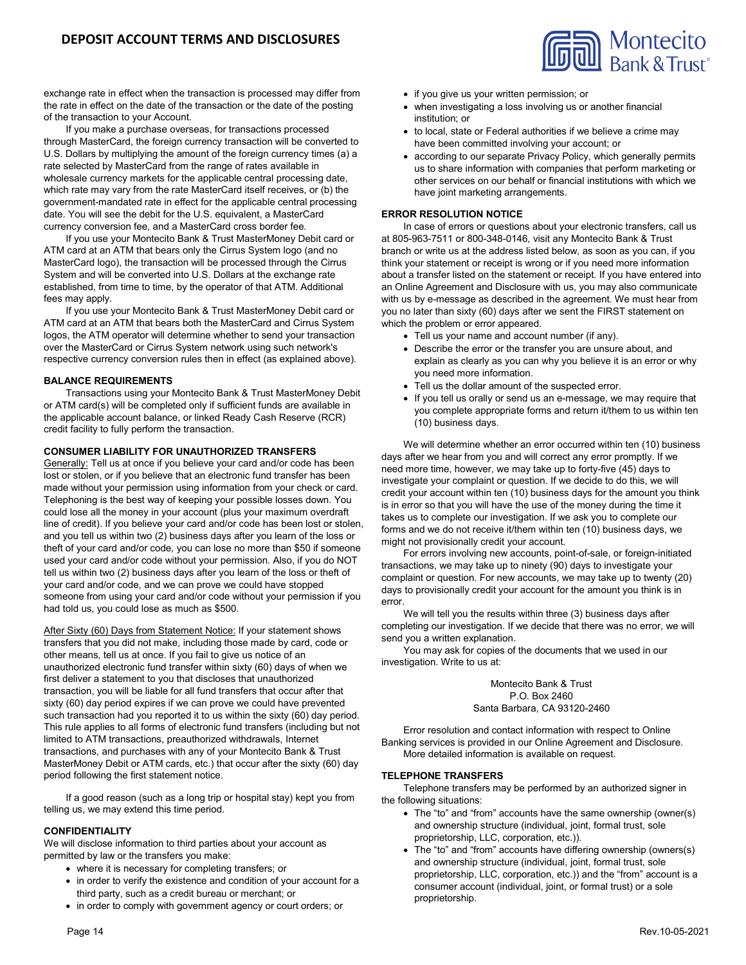Montecito<br>Bank & Trust

exchange rate in effect when the transaction is processed may differ from the rate in effect on the date of the transaction or the date of the posting of the transaction to your Account.

If you make a purchase overseas, for transactions processed through MasterCard, the foreign currency transaction will be converted to U.S. Dollars by multiplying the amount of the foreign currency times (a) a rate selected by MasterCard from the range of rates available in wholesale currency markets for the applicable central processing date, which rate may vary from the rate MasterCard itself receives, or (b) the government-mandated rate in effect for the applicable central processing date. You will see the debit for the U.S. equivalent, a MasterCard currency conversion fee, and a MasterCard cross border fee.

If you use your Montecito Bank & Trust MasterMoney Debit card or ATM card at an ATM that bears only the Cirrus System logo (and no MasterCard logo), the transaction will be processed through the Cirrus System and will be converted into U.S. Dollars at the exchange rate established, from time to time, by the operator of that ATM. Additional fees may apply.

If you use your Montecito Bank & Trust MasterMoney Debit card or ATM card at an ATM that bears both the MasterCard and Cirrus System logos, the ATM operator will determine whether to send your transaction over the MasterCard or Cirrus System network using such network's respective currency conversion rules then in effect (as explained above).

# **BALANCE REQUIREMENTS**

Transactions using your Montecito Bank & Trust MasterMoney Debit or ATM card(s) will be completed only if sufficient funds are available in the applicable account balance, or linked Ready Cash Reserve (RCR) credit facility to fully perform the transaction.

# **CONSUMER LIABILITY FOR UNAUTHORIZED TRANSFERS**

Generally: Tell us at once if you believe your card and/or code has been lost or stolen, or if you believe that an electronic fund transfer has been made without your permission using information from your check or card. Telephoning is the best way of keeping your possible losses down. You could lose all the money in your account (plus your maximum overdraft line of credit). If you believe your card and/or code has been lost or stolen, and you tell us within two (2) business days after you learn of the loss or theft of your card and/or code, you can lose no more than \$50 if someone used your card and/or code without your permission. Also, if you do NOT tell us within two (2) business days after you learn of the loss or theft of your card and/or code, and we can prove we could have stopped someone from using your card and/or code without your permission if you had told us, you could lose as much as \$500.

After Sixty (60) Days from Statement Notice: If your statement shows transfers that you did not make, including those made by card, code or other means, tell us at once. If you fail to give us notice of an unauthorized electronic fund transfer within sixty (60) days of when we first deliver a statement to you that discloses that unauthorized transaction, you will be liable for all fund transfers that occur after that sixty (60) day period expires if we can prove we could have prevented such transaction had you reported it to us within the sixty (60) day period. This rule applies to all forms of electronic fund transfers (including but not limited to ATM transactions, preauthorized withdrawals, Internet transactions, and purchases with any of your Montecito Bank & Trust MasterMoney Debit or ATM cards, etc.) that occur after the sixty (60) day period following the first statement notice.

If a good reason (such as a long trip or hospital stay) kept you from telling us, we may extend this time period.

# **CONFIDENTIALITY**

We will disclose information to third parties about your account as permitted by law or the transfers you make:

- where it is necessary for completing transfers; or
- in order to verify the existence and condition of your account for a third party, such as a credit bureau or merchant; or
- in order to comply with government agency or court orders; or
- when investigating a loss involving us or another financial institution; or
- to local, state or Federal authorities if we believe a crime may have been committed involving your account; or
- according to our separate Privacy Policy, which generally permits us to share information with companies that perform marketing or other services on our behalf or financial institutions with which we have joint marketing arrangements.

# **ERROR RESOLUTION NOTICE**

In case of errors or questions about your electronic transfers, call us at 805-963-7511 or 800-348-0146, visit any Montecito Bank & Trust branch or write us at the address listed below, as soon as you can, if you think your statement or receipt is wrong or if you need more information about a transfer listed on the statement or receipt. If you have entered into an Online Agreement and Disclosure with us, you may also communicate with us by e-message as described in the agreement. We must hear from you no later than sixty (60) days after we sent the FIRST statement on which the problem or error appeared.

- Tell us your name and account number (if any).
- Describe the error or the transfer you are unsure about, and explain as clearly as you can why you believe it is an error or why you need more information.
- Tell us the dollar amount of the suspected error.
- If you tell us orally or send us an e-message, we may require that you complete appropriate forms and return it/them to us within ten (10) business days.

We will determine whether an error occurred within ten (10) business days after we hear from you and will correct any error promptly. If we need more time, however, we may take up to forty-five (45) days to investigate your complaint or question. If we decide to do this, we will credit your account within ten (10) business days for the amount you think is in error so that you will have the use of the money during the time it takes us to complete our investigation. If we ask you to complete our forms and we do not receive it/them within ten (10) business days, we might not provisionally credit your account.

For errors involving new accounts, point-of-sale, or foreign-initiated transactions, we may take up to ninety (90) days to investigate your complaint or question. For new accounts, we may take up to twenty (20) days to provisionally credit your account for the amount you think is in error.

We will tell you the results within three (3) business days after completing our investigation. If we decide that there was no error, we will send you a written explanation.

You may ask for copies of the documents that we used in our investigation. Write to us at:

> Montecito Bank & Trust P.O. Box 2460 Santa Barbara, CA 93120-2460

Error resolution and contact information with respect to Online Banking services is provided in our Online Agreement and Disclosure. More detailed information is available on request.

### **TELEPHONE TRANSFERS**

Telephone transfers may be performed by an authorized signer in the following situations:

- The "to" and "from" accounts have the same ownership (owner(s) and ownership structure (individual, joint, formal trust, sole proprietorship, LLC, corporation, etc.)).
- The "to" and "from" accounts have differing ownership (owners(s) and ownership structure (individual, joint, formal trust, sole proprietorship, LLC, corporation, etc.)) and the "from" account is a consumer account (individual, joint, or formal trust) or a sole proprietorship.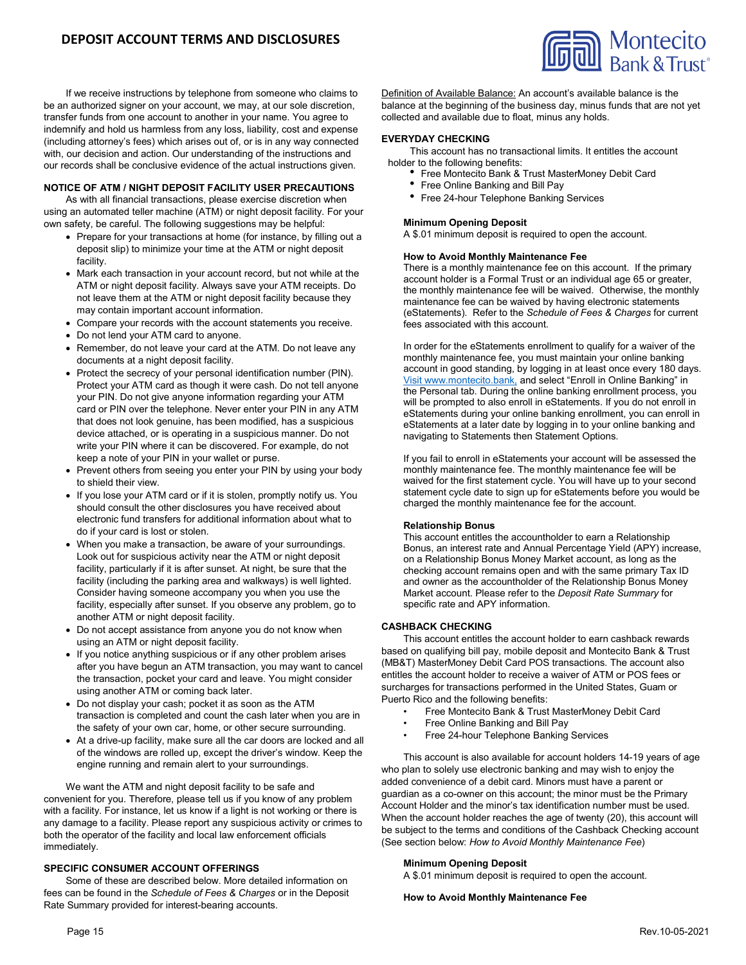If we receive instructions by telephone from someone who claims to be an authorized signer on your account, we may, at our sole discretion, transfer funds from one account to another in your name. You agree to indemnify and hold us harmless from any loss, liability, cost and expense (including attorney's fees) which arises out of, or is in any way connected with, our decision and action. Our understanding of the instructions and our records shall be conclusive evidence of the actual instructions given.

# **NOTICE OF ATM / NIGHT DEPOSIT FACILITY USER PRECAUTIONS**

As with all financial transactions, please exercise discretion when using an automated teller machine (ATM) or night deposit facility. For your own safety, be careful. The following suggestions may be helpful:

- Prepare for your transactions at home (for instance, by filling out a deposit slip) to minimize your time at the ATM or night deposit facility.
- Mark each transaction in your account record, but not while at the ATM or night deposit facility. Always save your ATM receipts. Do not leave them at the ATM or night deposit facility because they may contain important account information.
- Compare your records with the account statements you receive.
- Do not lend your ATM card to anyone.
- Remember, do not leave your card at the ATM. Do not leave any documents at a night deposit facility.
- Protect the secrecy of your personal identification number (PIN). Protect your ATM card as though it were cash. Do not tell anyone your PIN. Do not give anyone information regarding your ATM card or PIN over the telephone. Never enter your PIN in any ATM that does not look genuine, has been modified, has a suspicious device attached, or is operating in a suspicious manner. Do not write your PIN where it can be discovered. For example, do not keep a note of your PIN in your wallet or purse.
- Prevent others from seeing you enter your PIN by using your body to shield their view.
- If you lose your ATM card or if it is stolen, promptly notify us. You should consult the other disclosures you have received about electronic fund transfers for additional information about what to do if your card is lost or stolen.
- When you make a transaction, be aware of your surroundings. Look out for suspicious activity near the ATM or night deposit facility, particularly if it is after sunset. At night, be sure that the facility (including the parking area and walkways) is well lighted. Consider having someone accompany you when you use the facility, especially after sunset. If you observe any problem, go to another ATM or night deposit facility.
- Do not accept assistance from anyone you do not know when using an ATM or night deposit facility.
- If you notice anything suspicious or if any other problem arises after you have begun an ATM transaction, you may want to cancel the transaction, pocket your card and leave. You might consider using another ATM or coming back later.
- Do not display your cash; pocket it as soon as the ATM transaction is completed and count the cash later when you are in the safety of your own car, home, or other secure surrounding.
- At a drive-up facility, make sure all the car doors are locked and all of the windows are rolled up, except the driver's window. Keep the engine running and remain alert to your surroundings.

We want the ATM and night deposit facility to be safe and convenient for you. Therefore, please tell us if you know of any problem with a facility. For instance, let us know if a light is not working or there is any damage to a facility. Please report any suspicious activity or crimes to both the operator of the facility and local law enforcement officials immediately.

### **SPECIFIC CONSUMER ACCOUNT OFFERINGS**

Some of these are described below. More detailed information on fees can be found in the *Schedule of Fees & Charges* or in the Deposit Rate Summary provided for interest-bearing accounts.

Definition of Available Balance: An account's available balance is the balance at the beginning of the business day, minus funds that are not yet collected and available due to float, minus any holds.

# **EVERYDAY CHECKING**

This account has no transactional limits. It entitles the account holder to the following benefits:<br>
• Free Montecito Bank & Trust MasterMoney Debit Card<br>
• Free Online Banking and Bill Pay

- 
- 
- Free 24-hour Telephone Banking Services

# **Minimum Opening Deposit**

A \$.01 minimum deposit is required to open the account.

### **How to Avoid Monthly Maintenance Fee**

There is a monthly maintenance fee on this account. If the primary account holder is a Formal Trust or an individual age 65 or greater, the monthly maintenance fee will be waived. Otherwise, the monthly maintenance fee can be waived by having electronic statements (eStatements). Refer to the *Schedule of Fees & Charges* for current fees associated with this account.

In order for the eStatements enrollment to qualify for a waiver of the monthly maintenance fee, you must maintain your online banking account in good standing, by logging in at least once every 180 days. Visit www.montecito.bank, and select "Enroll in Online Banking" in the Personal tab. During the online banking enrollment process, you will be prompted to also enroll in eStatements. If you do not enroll in eStatements during your online banking enrollment, you can enroll in eStatements at a later date by logging in to your online banking and navigating to Statements then Statement Options.

If you fail to enroll in eStatements your account will be assessed the monthly maintenance fee. The monthly maintenance fee will be waived for the first statement cycle. You will have up to your second statement cycle date to sign up for eStatements before you would be charged the monthly maintenance fee for the account.

#### **Relationship Bonus**

This account entitles the accountholder to earn a Relationship Bonus, an interest rate and Annual Percentage Yield (APY) increase, on a Relationship Bonus Money Market account, as long as the checking account remains open and with the same primary Tax ID and owner as the accountholder of the Relationship Bonus Money Market account. Please refer to the *Deposit Rate Summary* for specific rate and APY information.

### **CASHBACK CHECKING**

This account entitles the account holder to earn cashback rewards based on qualifying bill pay, mobile deposit and Montecito Bank & Trust (MB&T) MasterMoney Debit Card POS transactions. The account also entitles the account holder to receive a waiver of ATM or POS fees or surcharges for transactions performed in the United States, Guam or Puerto Rico and the following benefits:

- Free Montecito Bank & Trust MasterMoney Debit Card
- Free Online Banking and Bill Pay
- Free 24-hour Telephone Banking Services

This account is also available for account holders 14-19 years of age who plan to solely use electronic banking and may wish to enjoy the added convenience of a debit card. Minors must have a parent or guardian as a co-owner on this account; the minor must be the Primary Account Holder and the minor's tax identification number must be used. When the account holder reaches the age of twenty (20), this account will be subject to the terms and conditions of the Cashback Checking account (See section below: *How to Avoid Monthly Maintenance Fee*)

### **Minimum Opening Deposit**

A \$.01 minimum deposit is required to open the account.

#### **How to Avoid Monthly Maintenance Fee**

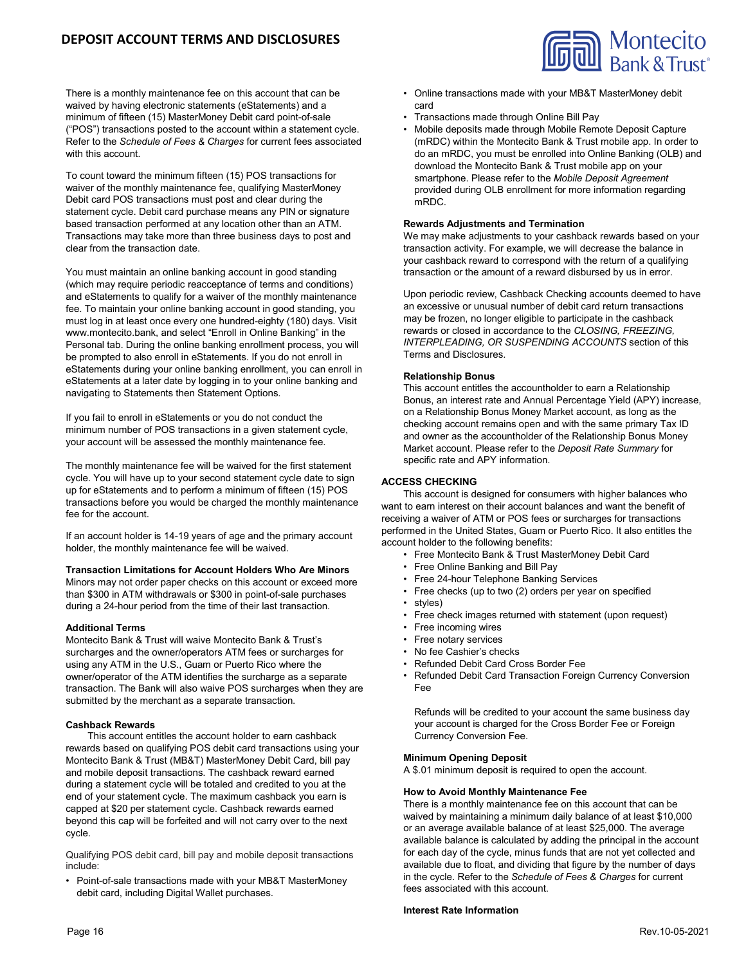# **DEPOSIT ACCOUNT TERMS AND DISCLOSURES**

There is a monthly maintenance fee on this account that can be waived by having electronic statements (eStatements) and a minimum of fifteen (15) MasterMoney Debit card point-of-sale ("POS") transactions posted to the account within a statement cycle. Refer to the *Schedule of Fees & Charges* for current fees associated with this account.

To count toward the minimum fifteen (15) POS transactions for waiver of the monthly maintenance fee, qualifying MasterMoney Debit card POS transactions must post and clear during the statement cycle. Debit card purchase means any PIN or signature based transaction performed at any location other than an ATM. Transactions may take more than three business days to post and clear from the transaction date.

You must maintain an online banking account in good standing (which may require periodic reacceptance of terms and conditions) and eStatements to qualify for a waiver of the monthly maintenance fee. To maintain your online banking account in good standing, you must log in at least once every one hundred-eighty (180) days. Visit www.montecito.bank, and select "Enroll in Online Banking" in the Personal tab. During the online banking enrollment process, you will be prompted to also enroll in eStatements. If you do not enroll in eStatements during your online banking enrollment, you can enroll in eStatements at a later date by logging in to your online banking and navigating to Statements then Statement Options.

If you fail to enroll in eStatements or you do not conduct the minimum number of POS transactions in a given statement cycle, your account will be assessed the monthly maintenance fee.

The monthly maintenance fee will be waived for the first statement cycle. You will have up to your second statement cycle date to sign up for eStatements and to perform a minimum of fifteen (15) POS transactions before you would be charged the monthly maintenance fee for the account.

If an account holder is 14-19 years of age and the primary account holder, the monthly maintenance fee will be waived.

# **Transaction Limitations for Account Holders Who Are Minors**

Minors may not order paper checks on this account or exceed more than \$300 in ATM withdrawals or \$300 in point-of-sale purchases during a 24-hour period from the time of their last transaction.

### **Additional Terms**

Montecito Bank & Trust will waive Montecito Bank & Trust's surcharges and the owner/operators ATM fees or surcharges for using any ATM in the U.S., Guam or Puerto Rico where the owner/operator of the ATM identifies the surcharge as a separate transaction. The Bank will also waive POS surcharges when they are submitted by the merchant as a separate transaction.

### **Cashback Rewards**

This account entitles the account holder to earn cashback rewards based on qualifying POS debit card transactions using your Montecito Bank & Trust (MB&T) MasterMoney Debit Card, bill pay and mobile deposit transactions. The cashback reward earned during a statement cycle will be totaled and credited to you at the end of your statement cycle. The maximum cashback you earn is capped at \$20 per statement cycle. Cashback rewards earned beyond this cap will be forfeited and will not carry over to the next cycle.

Qualifying POS debit card, bill pay and mobile deposit transactions include:

• Point-of-sale transactions made with your MB&T MasterMoney debit card, including Digital Wallet purchases.



- Online transactions made with your MB&T MasterMoney debit card
- Transactions made through Online Bill Pay
- Mobile deposits made through Mobile Remote Deposit Capture (mRDC) within the Montecito Bank & Trust mobile app. In order to do an mRDC, you must be enrolled into Online Banking (OLB) and download the Montecito Bank & Trust mobile app on your smartphone. Please refer to the *Mobile Deposit Agreement* provided during OLB enrollment for more information regarding mRDC.

# **Rewards Adjustments and Termination**

We may make adjustments to your cashback rewards based on your transaction activity. For example, we will decrease the balance in your cashback reward to correspond with the return of a qualifying transaction or the amount of a reward disbursed by us in error.

Upon periodic review, Cashback Checking accounts deemed to have an excessive or unusual number of debit card return transactions may be frozen, no longer eligible to participate in the cashback rewards or closed in accordance to the *CLOSING, FREEZING, INTERPLEADING, OR SUSPENDING ACCOUNTS* section of this Terms and Disclosures.

### **Relationship Bonus**

This account entitles the accountholder to earn a Relationship Bonus, an interest rate and Annual Percentage Yield (APY) increase, on a Relationship Bonus Money Market account, as long as the checking account remains open and with the same primary Tax ID and owner as the accountholder of the Relationship Bonus Money Market account. Please refer to the *Deposit Rate Summary* for specific rate and APY information.

### **ACCESS CHECKING**

This account is designed for consumers with higher balances who want to earn interest on their account balances and want the benefit of receiving a waiver of ATM or POS fees or surcharges for transactions performed in the United States, Guam or Puerto Rico. It also entitles the account holder to the following benefits:

- Free Montecito Bank & Trust MasterMoney Debit Card
	- Free Online Banking and Bill Pay
	- Free 24-hour Telephone Banking Services
	- Free checks (up to two (2) orders per year on specified
	- styles)
	- Free check images returned with statement (upon request)
	- Free incoming wires
	- Free notary services
	- No fee Cashier's checks
- Refunded Debit Card Cross Border Fee
- Refunded Debit Card Transaction Foreign Currency Conversion Fee

Refunds will be credited to your account the same business day your account is charged for the Cross Border Fee or Foreign Currency Conversion Fee.

### **Minimum Opening Deposit**

A \$.01 minimum deposit is required to open the account.

#### **How to Avoid Monthly Maintenance Fee**

There is a monthly maintenance fee on this account that can be waived by maintaining a minimum daily balance of at least \$10,000 or an average available balance of at least \$25,000. The average available balance is calculated by adding the principal in the account for each day of the cycle, minus funds that are not yet collected and available due to float, and dividing that figure by the number of days in the cycle. Refer to the *Schedule of Fees & Charges* for current fees associated with this account.

# **Interest Rate Information**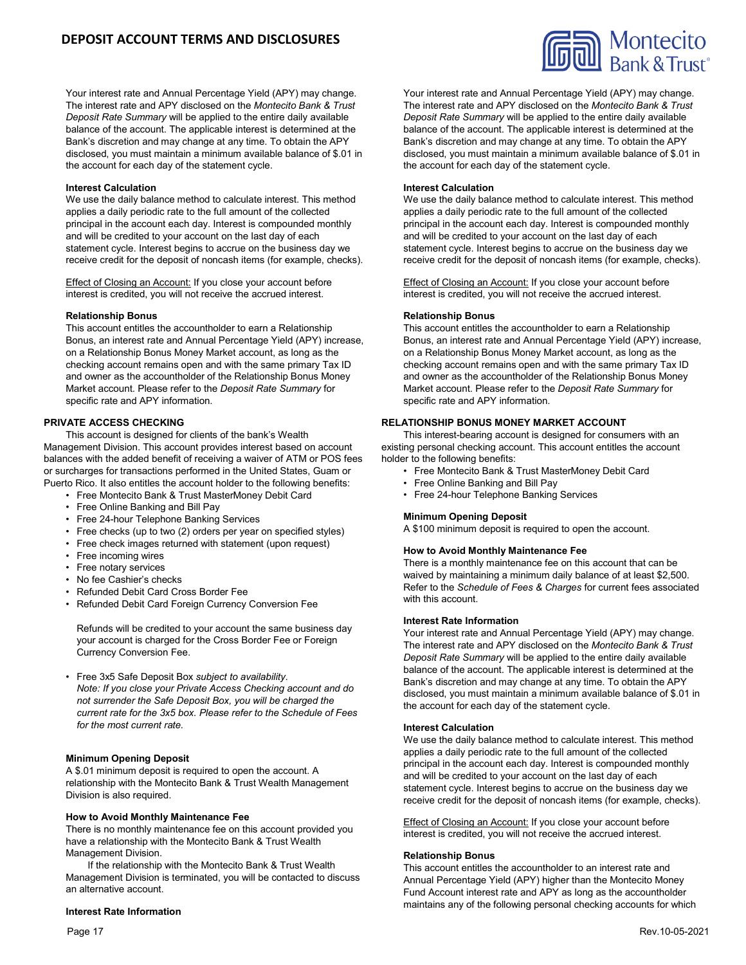Your interest rate and Annual Percentage Yield (APY) may change. The interest rate and APY disclosed on the *Montecito Bank & Trust Deposit Rate Summary* will be applied to the entire daily available balance of the account. The applicable interest is determined at the Bank's discretion and may change at any time. To obtain the APY disclosed, you must maintain a minimum available balance of \$.01 in the account for each day of the statement cycle.

### **Interest Calculation**

We use the daily balance method to calculate interest. This method applies a daily periodic rate to the full amount of the collected principal in the account each day. Interest is compounded monthly and will be credited to your account on the last day of each statement cycle. Interest begins to accrue on the business day we receive credit for the deposit of noncash items (for example, checks).

Effect of Closing an Account: If you close your account before interest is credited, you will not receive the accrued interest.

### **Relationship Bonus**

This account entitles the accountholder to earn a Relationship Bonus, an interest rate and Annual Percentage Yield (APY) increase, on a Relationship Bonus Money Market account, as long as the checking account remains open and with the same primary Tax ID and owner as the accountholder of the Relationship Bonus Money Market account. Please refer to the *Deposit Rate Summary* for specific rate and APY information.

### **PRIVATE ACCESS CHECKING**

This account is designed for clients of the bank's Wealth Management Division. This account provides interest based on account balances with the added benefit of receiving a waiver of ATM or POS fees or surcharges for transactions performed in the United States, Guam or Puerto Rico. It also entitles the account holder to the following benefits:

- Free Montecito Bank & Trust MasterMoney Debit Card
- Free Online Banking and Bill Pay
- Free 24-hour Telephone Banking Services
- Free checks (up to two (2) orders per year on specified styles)
- Free check images returned with statement (upon request)
- Free incoming wires
- Free notary services
- No fee Cashier's checks
- Refunded Debit Card Cross Border Fee
- Refunded Debit Card Foreign Currency Conversion Fee

Refunds will be credited to your account the same business day your account is charged for the Cross Border Fee or Foreign Currency Conversion Fee.

• Free 3x5 Safe Deposit Box *subject to availability*. *Note: If you close your Private Access Checking account and do not surrender the Safe Deposit Box, you will be charged the current rate for the 3x5 box. Please refer to the Schedule of Fees for the most current rate.*

### **Minimum Opening Deposit**

A \$.01 minimum deposit is required to open the account. A relationship with the Montecito Bank & Trust Wealth Management Division is also required.

# **How to Avoid Monthly Maintenance Fee**

There is no monthly maintenance fee on this account provided you have a relationship with the Montecito Bank & Trust Wealth Management Division.

If the relationship with the Montecito Bank & Trust Wealth Management Division is terminated, you will be contacted to discuss an alternative account.

### **Interest Rate Information**

Your interest rate and Annual Percentage Yield (APY) may change. The interest rate and APY disclosed on the *Montecito Bank & Trust Deposit Rate Summary* will be applied to the entire daily available balance of the account. The applicable interest is determined at the Bank's discretion and may change at any time. To obtain the APY disclosed, you must maintain a minimum available balance of \$.01 in the account for each day of the statement cycle.

### **Interest Calculation**

We use the daily balance method to calculate interest. This method applies a daily periodic rate to the full amount of the collected principal in the account each day. Interest is compounded monthly and will be credited to your account on the last day of each statement cycle. Interest begins to accrue on the business day we receive credit for the deposit of noncash items (for example, checks).

Effect of Closing an Account: If you close your account before interest is credited, you will not receive the accrued interest.

### **Relationship Bonus**

This account entitles the accountholder to earn a Relationship Bonus, an interest rate and Annual Percentage Yield (APY) increase, on a Relationship Bonus Money Market account, as long as the checking account remains open and with the same primary Tax ID and owner as the accountholder of the Relationship Bonus Money Market account. Please refer to the *Deposit Rate Summary* for specific rate and APY information.

# **RELATIONSHIP BONUS MONEY MARKET ACCOUNT**

This interest-bearing account is designed for consumers with an existing personal checking account. This account entitles the account holder to the following benefits:

- Free Montecito Bank & Trust MasterMoney Debit Card
- Free Online Banking and Bill Pay
- Free 24-hour Telephone Banking Services

### **Minimum Opening Deposit**

A \$100 minimum deposit is required to open the account.

### **How to Avoid Monthly Maintenance Fee**

There is a monthly maintenance fee on this account that can be waived by maintaining a minimum daily balance of at least \$2,500. Refer to the *Schedule of Fees & Charges* for current fees associated with this account.

#### **Interest Rate Information**

Your interest rate and Annual Percentage Yield (APY) may change. The interest rate and APY disclosed on the *Montecito Bank & Trust Deposit Rate Summary* will be applied to the entire daily available balance of the account. The applicable interest is determined at the Bank's discretion and may change at any time. To obtain the APY disclosed, you must maintain a minimum available balance of \$.01 in the account for each day of the statement cycle.

#### **Interest Calculation**

We use the daily balance method to calculate interest. This method applies a daily periodic rate to the full amount of the collected principal in the account each day. Interest is compounded monthly and will be credited to your account on the last day of each statement cycle. Interest begins to accrue on the business day we receive credit for the deposit of noncash items (for example, checks).

Effect of Closing an Account: If you close your account before interest is credited, you will not receive the accrued interest.

#### **Relationship Bonus**

This account entitles the accountholder to an interest rate and Annual Percentage Yield (APY) higher than the Montecito Money Fund Account interest rate and APY as long as the accountholder maintains any of the following personal checking accounts for which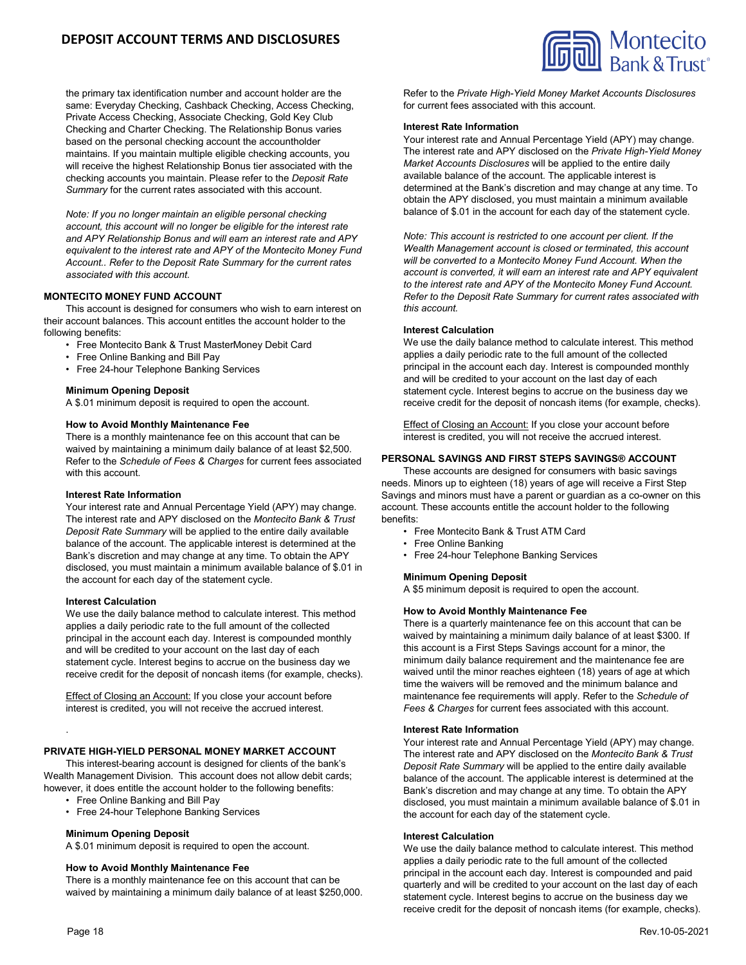# **DEPOSIT ACCOUNT TERMS AND DISCLOSURES**

the primary tax identification number and account holder are the same: Everyday Checking, Cashback Checking, Access Checking, Private Access Checking, Associate Checking, Gold Key Club Checking and Charter Checking. The Relationship Bonus varies based on the personal checking account the accountholder maintains. If you maintain multiple eligible checking accounts, you will receive the highest Relationship Bonus tier associated with the checking accounts you maintain. Please refer to the *Deposit Rate Summary* for the current rates associated with this account.

*Note: If you no longer maintain an eligible personal checking account, this account will no longer be eligible for the interest rate and APY Relationship Bonus and will earn an interest rate and APY equivalent to the interest rate and APY of the Montecito Money Fund Account.. Refer to the Deposit Rate Summary for the current rates associated with this account.*

# **MONTECITO MONEY FUND ACCOUNT**

This account is designed for consumers who wish to earn interest on their account balances. This account entitles the account holder to the following benefits:

- Free Montecito Bank & Trust MasterMoney Debit Card
- Free Online Banking and Bill Pay
- Free 24-hour Telephone Banking Services

### **Minimum Opening Deposit**

A \$.01 minimum deposit is required to open the account.

#### **How to Avoid Monthly Maintenance Fee**

There is a monthly maintenance fee on this account that can be waived by maintaining a minimum daily balance of at least \$2,500. Refer to the *Schedule of Fees & Charges* for current fees associated with this account.

#### **Interest Rate Information**

Your interest rate and Annual Percentage Yield (APY) may change. The interest rate and APY disclosed on the *Montecito Bank & Trust Deposit Rate Summary* will be applied to the entire daily available balance of the account. The applicable interest is determined at the Bank's discretion and may change at any time. To obtain the APY disclosed, you must maintain a minimum available balance of \$.01 in the account for each day of the statement cycle.

#### **Interest Calculation**

We use the daily balance method to calculate interest. This method applies a daily periodic rate to the full amount of the collected principal in the account each day. Interest is compounded monthly and will be credited to your account on the last day of each statement cycle. Interest begins to accrue on the business day we receive credit for the deposit of noncash items (for example, checks).

Effect of Closing an Account: If you close your account before interest is credited, you will not receive the accrued interest.

### **PRIVATE HIGH-YIELD PERSONAL MONEY MARKET ACCOUNT**

This interest-bearing account is designed for clients of the bank's Wealth Management Division. This account does not allow debit cards; however, it does entitle the account holder to the following benefits:

- Free Online Banking and Bill Pay
- Free 24-hour Telephone Banking Services

#### **Minimum Opening Deposit**

A \$.01 minimum deposit is required to open the account.

#### **How to Avoid Monthly Maintenance Fee**

There is a monthly maintenance fee on this account that can be waived by maintaining a minimum daily balance of at least \$250,000. Refer to the *Private High-Yield Money Market Accounts Disclosures* for current fees associated with this account.

#### **Interest Rate Information**

Your interest rate and Annual Percentage Yield (APY) may change. The interest rate and APY disclosed on the *Private High-Yield Money Market Accounts Disclosures* will be applied to the entire daily available balance of the account. The applicable interest is determined at the Bank's discretion and may change at any time. To obtain the APY disclosed, you must maintain a minimum available balance of \$.01 in the account for each day of the statement cycle.

*Note: This account is restricted to one account per client. If the Wealth Management account is closed or terminated, this account will be converted to a Montecito Money Fund Account. When the account is converted, it will earn an interest rate and APY equivalent to the interest rate and APY of the Montecito Money Fund Account. Refer to the Deposit Rate Summary for current rates associated with this account.*

#### **Interest Calculation**

We use the daily balance method to calculate interest. This method applies a daily periodic rate to the full amount of the collected principal in the account each day. Interest is compounded monthly and will be credited to your account on the last day of each statement cycle. Interest begins to accrue on the business day we receive credit for the deposit of noncash items (for example, checks).

Effect of Closing an Account: If you close your account before interest is credited, you will not receive the accrued interest.

### **PERSONAL SAVINGS AND FIRST STEPS SAVINGS® ACCOUNT**

These accounts are designed for consumers with basic savings needs. Minors up to eighteen (18) years of age will receive a First Step Savings and minors must have a parent or guardian as a co-owner on this account. These accounts entitle the account holder to the following benefits:

- Free Montecito Bank & Trust ATM Card
- Free Online Banking
- Free 24-hour Telephone Banking Services

#### **Minimum Opening Deposit**

A \$5 minimum deposit is required to open the account.

#### **How to Avoid Monthly Maintenance Fee**

There is a quarterly maintenance fee on this account that can be waived by maintaining a minimum daily balance of at least \$300. If this account is a First Steps Savings account for a minor, the minimum daily balance requirement and the maintenance fee are waived until the minor reaches eighteen (18) years of age at which time the waivers will be removed and the minimum balance and maintenance fee requirements will apply. Refer to the *Schedule of Fees & Charges* for current fees associated with this account.

#### **Interest Rate Information**

Your interest rate and Annual Percentage Yield (APY) may change. The interest rate and APY disclosed on the *Montecito Bank & Trust Deposit Rate Summary* will be applied to the entire daily available balance of the account. The applicable interest is determined at the Bank's discretion and may change at any time. To obtain the APY disclosed, you must maintain a minimum available balance of \$.01 in the account for each day of the statement cycle.

#### **Interest Calculation**

We use the daily balance method to calculate interest. This method applies a daily periodic rate to the full amount of the collected principal in the account each day. Interest is compounded and paid quarterly and will be credited to your account on the last day of each statement cycle. Interest begins to accrue on the business day we receive credit for the deposit of noncash items (for example, checks).

.

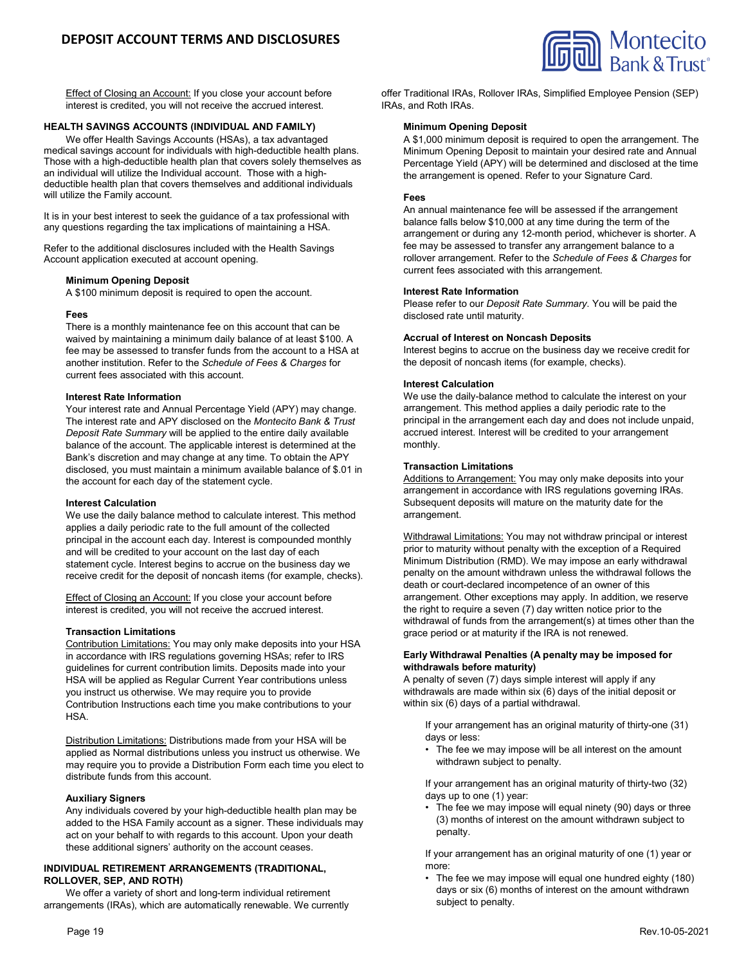

Effect of Closing an Account: If you close your account before interest is credited, you will not receive the accrued interest.

# **HEALTH SAVINGS ACCOUNTS (INDIVIDUAL AND FAMILY)**

We offer Health Savings Accounts (HSAs), a tax advantaged medical savings account for individuals with high-deductible health plans. Those with a high-deductible health plan that covers solely themselves as an individual will utilize the Individual account. Those with a highdeductible health plan that covers themselves and additional individuals will utilize the Family account.

It is in your best interest to seek the guidance of a tax professional with any questions regarding the tax implications of maintaining a HSA.

Refer to the additional disclosures included with the Health Savings Account application executed at account opening.

### **Minimum Opening Deposit**

A \$100 minimum deposit is required to open the account.

### **Fees**

There is a monthly maintenance fee on this account that can be waived by maintaining a minimum daily balance of at least \$100. A fee may be assessed to transfer funds from the account to a HSA at another institution. Refer to the *Schedule of Fees & Charges* for current fees associated with this account.

### **Interest Rate Information**

Your interest rate and Annual Percentage Yield (APY) may change. The interest rate and APY disclosed on the *Montecito Bank & Trust Deposit Rate Summary* will be applied to the entire daily available balance of the account. The applicable interest is determined at the Bank's discretion and may change at any time. To obtain the APY disclosed, you must maintain a minimum available balance of \$.01 in the account for each day of the statement cycle.

### **Interest Calculation**

We use the daily balance method to calculate interest. This method applies a daily periodic rate to the full amount of the collected principal in the account each day. Interest is compounded monthly and will be credited to your account on the last day of each statement cycle. Interest begins to accrue on the business day we receive credit for the deposit of noncash items (for example, checks).

Effect of Closing an Account: If you close your account before interest is credited, you will not receive the accrued interest.

### **Transaction Limitations**

Contribution Limitations: You may only make deposits into your HSA in accordance with IRS regulations governing HSAs; refer to IRS guidelines for current contribution limits. Deposits made into your HSA will be applied as Regular Current Year contributions unless you instruct us otherwise. We may require you to provide Contribution Instructions each time you make contributions to your HSA.

Distribution Limitations: Distributions made from your HSA will be applied as Normal distributions unless you instruct us otherwise. We may require you to provide a Distribution Form each time you elect to distribute funds from this account.

### **Auxiliary Signers**

Any individuals covered by your high-deductible health plan may be added to the HSA Family account as a signer. These individuals may act on your behalf to with regards to this account. Upon your death these additional signers' authority on the account ceases.

### **INDIVIDUAL RETIREMENT ARRANGEMENTS (TRADITIONAL, ROLLOVER, SEP, AND ROTH)**

We offer a variety of short and long-term individual retirement arrangements (IRAs), which are automatically renewable. We currently offer Traditional IRAs, Rollover IRAs, Simplified Employee Pension (SEP) IRAs, and Roth IRAs.

### **Minimum Opening Deposit**

A \$1,000 minimum deposit is required to open the arrangement. The Minimum Opening Deposit to maintain your desired rate and Annual Percentage Yield (APY) will be determined and disclosed at the time the arrangement is opened. Refer to your Signature Card.

### **Fees**

An annual maintenance fee will be assessed if the arrangement balance falls below \$10,000 at any time during the term of the arrangement or during any 12-month period, whichever is shorter. A fee may be assessed to transfer any arrangement balance to a rollover arrangement. Refer to the *Schedule of Fees & Charges* for current fees associated with this arrangement.

### **Interest Rate Information**

Please refer to our *Deposit Rate Summary*. You will be paid the disclosed rate until maturity.

### **Accrual of Interest on Noncash Deposits**

Interest begins to accrue on the business day we receive credit for the deposit of noncash items (for example, checks).

### **Interest Calculation**

We use the daily-balance method to calculate the interest on your arrangement. This method applies a daily periodic rate to the principal in the arrangement each day and does not include unpaid, accrued interest. Interest will be credited to your arrangement monthly.

### **Transaction Limitations**

Additions to Arrangement: You may only make deposits into your arrangement in accordance with IRS regulations governing IRAs. Subsequent deposits will mature on the maturity date for the arrangement.

Withdrawal Limitations: You may not withdraw principal or interest prior to maturity without penalty with the exception of a Required Minimum Distribution (RMD). We may impose an early withdrawal penalty on the amount withdrawn unless the withdrawal follows the death or court-declared incompetence of an owner of this arrangement. Other exceptions may apply. In addition, we reserve the right to require a seven (7) day written notice prior to the withdrawal of funds from the arrangement(s) at times other than the grace period or at maturity if the IRA is not renewed.

### **Early Withdrawal Penalties (A penalty may be imposed for withdrawals before maturity)**

A penalty of seven (7) days simple interest will apply if any withdrawals are made within six (6) days of the initial deposit or within six (6) days of a partial withdrawal.

If your arrangement has an original maturity of thirty-one (31) days or less:

• The fee we may impose will be all interest on the amount withdrawn subject to penalty.

If your arrangement has an original maturity of thirty-two (32) days up to one (1) year:

• The fee we may impose will equal ninety (90) days or three (3) months of interest on the amount withdrawn subject to penalty.

If your arrangement has an original maturity of one (1) year or more:

• The fee we may impose will equal one hundred eighty (180) days or six (6) months of interest on the amount withdrawn subject to penalty.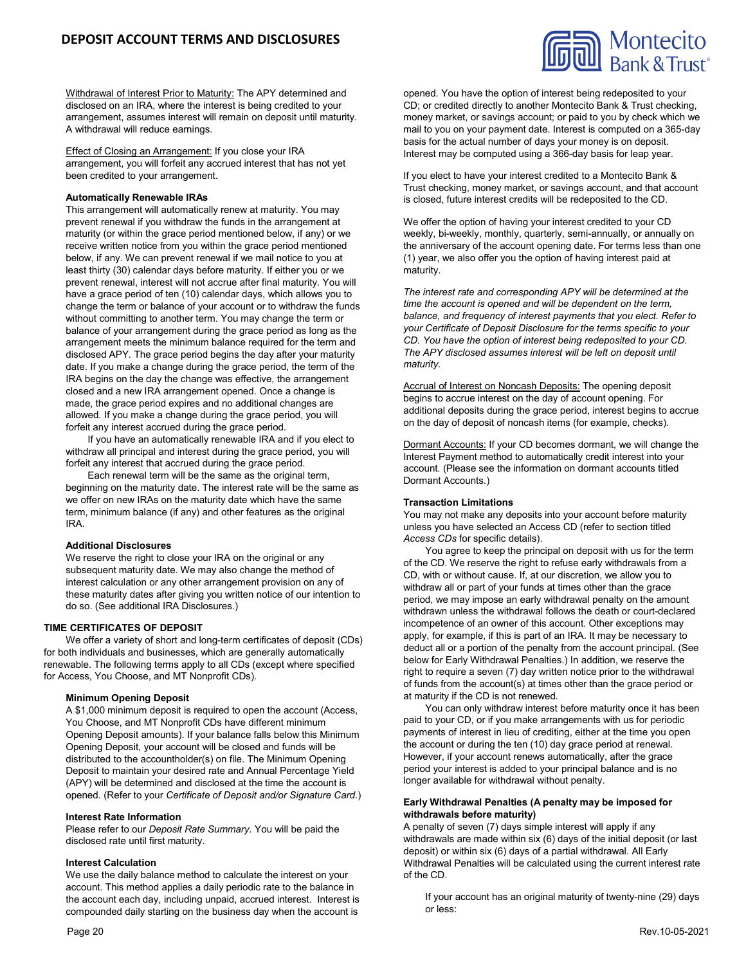

Effect of Closing an Arrangement: If you close your IRA arrangement, you will forfeit any accrued interest that has not yet been credited to your arrangement.

### **Automatically Renewable IRAs**

This arrangement will automatically renew at maturity. You may prevent renewal if you withdraw the funds in the arrangement at maturity (or within the grace period mentioned below, if any) or we receive written notice from you within the grace period mentioned below, if any. We can prevent renewal if we mail notice to you at least thirty (30) calendar days before maturity. If either you or we prevent renewal, interest will not accrue after final maturity. You will have a grace period of ten (10) calendar days, which allows you to change the term or balance of your account or to withdraw the funds without committing to another term. You may change the term or balance of your arrangement during the grace period as long as the arrangement meets the minimum balance required for the term and disclosed APY. The grace period begins the day after your maturity date. If you make a change during the grace period, the term of the IRA begins on the day the change was effective, the arrangement closed and a new IRA arrangement opened. Once a change is made, the grace period expires and no additional changes are allowed. If you make a change during the grace period, you will forfeit any interest accrued during the grace period.

If you have an automatically renewable IRA and if you elect to withdraw all principal and interest during the grace period, you will forfeit any interest that accrued during the grace period.

Each renewal term will be the same as the original term, beginning on the maturity date. The interest rate will be the same as we offer on new IRAs on the maturity date which have the same term, minimum balance (if any) and other features as the original IRA.

#### **Additional Disclosures**

We reserve the right to close your IRA on the original or any subsequent maturity date. We may also change the method of interest calculation or any other arrangement provision on any of these maturity dates after giving you written notice of our intention to do so. (See additional IRA Disclosures.)

### **TIME CERTIFICATES OF DEPOSIT**

We offer a variety of short and long-term certificates of deposit (CDs) for both individuals and businesses, which are generally automatically renewable. The following terms apply to all CDs (except where specified for Access, You Choose, and MT Nonprofit CDs).

#### **Minimum Opening Deposit**

A \$1,000 minimum deposit is required to open the account (Access, You Choose, and MT Nonprofit CDs have different minimum Opening Deposit amounts). If your balance falls below this Minimum Opening Deposit, your account will be closed and funds will be distributed to the accountholder(s) on file. The Minimum Opening Deposit to maintain your desired rate and Annual Percentage Yield (APY) will be determined and disclosed at the time the account is opened. (Refer to your *Certificate of Deposit and/or Signature Card.*)

#### **Interest Rate Information**

Please refer to our *Deposit Rate Summary*. You will be paid the disclosed rate until first maturity.

#### **Interest Calculation**

We use the daily balance method to calculate the interest on your account. This method applies a daily periodic rate to the balance in the account each day, including unpaid, accrued interest. Interest is compounded daily starting on the business day when the account is

Montecito

If you elect to have your interest credited to a Montecito Bank & Trust checking, money market, or savings account, and that account is closed, future interest credits will be redeposited to the CD.

We offer the option of having your interest credited to your CD weekly, bi-weekly, monthly, quarterly, semi-annually, or annually on the anniversary of the account opening date. For terms less than one (1) year, we also offer you the option of having interest paid at maturity.

*The interest rate and corresponding APY will be determined at the time the account is opened and will be dependent on the term, balance, and frequency of interest payments that you elect. Refer to your Certificate of Deposit Disclosure for the terms specific to your CD. You have the option of interest being redeposited to your CD. The APY disclosed assumes interest will be left on deposit until maturity.*

Accrual of Interest on Noncash Deposits: The opening deposit begins to accrue interest on the day of account opening. For additional deposits during the grace period, interest begins to accrue on the day of deposit of noncash items (for example, checks).

Dormant Accounts: If your CD becomes dormant, we will change the Interest Payment method to automatically credit interest into your account. (Please see the information on dormant accounts titled Dormant Accounts.)

#### **Transaction Limitations**

You may not make any deposits into your account before maturity unless you have selected an Access CD (refer to section titled *Access CDs* for specific details).

You agree to keep the principal on deposit with us for the term of the CD. We reserve the right to refuse early withdrawals from a CD, with or without cause. If, at our discretion, we allow you to withdraw all or part of your funds at times other than the grace period, we may impose an early withdrawal penalty on the amount withdrawn unless the withdrawal follows the death or court-declared incompetence of an owner of this account. Other exceptions may apply, for example, if this is part of an IRA. It may be necessary to deduct all or a portion of the penalty from the account principal. (See below for Early Withdrawal Penalties.) In addition, we reserve the right to require a seven (7) day written notice prior to the withdrawal of funds from the account(s) at times other than the grace period or at maturity if the CD is not renewed.

You can only withdraw interest before maturity once it has been paid to your CD, or if you make arrangements with us for periodic payments of interest in lieu of crediting, either at the time you open the account or during the ten (10) day grace period at renewal. However, if your account renews automatically, after the grace period your interest is added to your principal balance and is no longer available for withdrawal without penalty.

### **Early Withdrawal Penalties (A penalty may be imposed for withdrawals before maturity)**

A penalty of seven (7) days simple interest will apply if any withdrawals are made within six (6) days of the initial deposit (or last deposit) or within six (6) days of a partial withdrawal. All Early Withdrawal Penalties will be calculated using the current interest rate of the CD.

If your account has an original maturity of twenty-nine (29) days or less: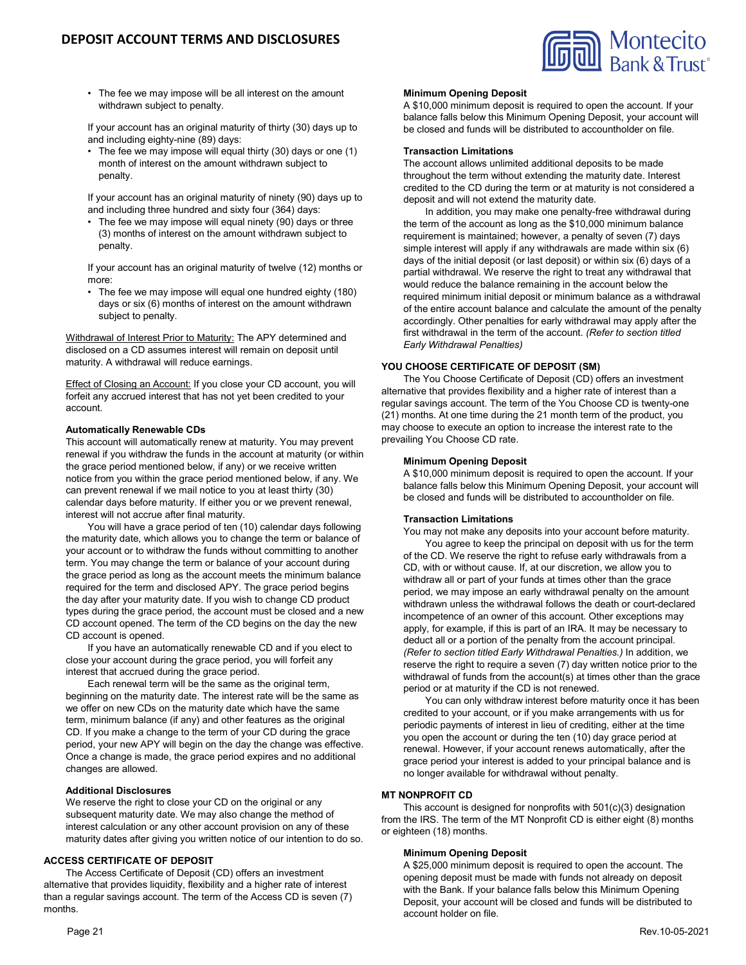

• The fee we may impose will be all interest on the amount withdrawn subject to penalty.

If your account has an original maturity of thirty (30) days up to and including eighty-nine (89) days:

• The fee we may impose will equal thirty (30) days or one (1) month of interest on the amount withdrawn subject to penalty.

If your account has an original maturity of ninety (90) days up to and including three hundred and sixty four (364) days:

• The fee we may impose will equal ninety (90) days or three (3) months of interest on the amount withdrawn subject to penalty.

If your account has an original maturity of twelve (12) months or more:

• The fee we may impose will equal one hundred eighty (180) days or six (6) months of interest on the amount withdrawn subject to penalty.

Withdrawal of Interest Prior to Maturity: The APY determined and disclosed on a CD assumes interest will remain on deposit until maturity. A withdrawal will reduce earnings.

Effect of Closing an Account: If you close your CD account, you will forfeit any accrued interest that has not yet been credited to your account.

# **Automatically Renewable CDs**

This account will automatically renew at maturity. You may prevent renewal if you withdraw the funds in the account at maturity (or within the grace period mentioned below, if any) or we receive written notice from you within the grace period mentioned below, if any. We can prevent renewal if we mail notice to you at least thirty (30) calendar days before maturity. If either you or we prevent renewal, interest will not accrue after final maturity.

You will have a grace period of ten (10) calendar days following the maturity date, which allows you to change the term or balance of your account or to withdraw the funds without committing to another term. You may change the term or balance of your account during the grace period as long as the account meets the minimum balance required for the term and disclosed APY. The grace period begins the day after your maturity date. If you wish to change CD product types during the grace period, the account must be closed and a new CD account opened. The term of the CD begins on the day the new CD account is opened.

If you have an automatically renewable CD and if you elect to close your account during the grace period, you will forfeit any interest that accrued during the grace period.

Each renewal term will be the same as the original term, beginning on the maturity date. The interest rate will be the same as we offer on new CDs on the maturity date which have the same term, minimum balance (if any) and other features as the original CD. If you make a change to the term of your CD during the grace period, your new APY will begin on the day the change was effective. Once a change is made, the grace period expires and no additional changes are allowed.

### **Additional Disclosures**

We reserve the right to close your CD on the original or any subsequent maturity date. We may also change the method of interest calculation or any other account provision on any of these maturity dates after giving you written notice of our intention to do so.

### **ACCESS CERTIFICATE OF DEPOSIT**

The Access Certificate of Deposit (CD) offers an investment alternative that provides liquidity, flexibility and a higher rate of interest than a regular savings account. The term of the Access CD is seven (7) months.

### **Minimum Opening Deposit**

A \$10,000 minimum deposit is required to open the account. If your balance falls below this Minimum Opening Deposit, your account will be closed and funds will be distributed to accountholder on file.

## **Transaction Limitations**

The account allows unlimited additional deposits to be made throughout the term without extending the maturity date. Interest credited to the CD during the term or at maturity is not considered a deposit and will not extend the maturity date.

In addition, you may make one penalty-free withdrawal during the term of the account as long as the \$10,000 minimum balance requirement is maintained; however, a penalty of seven (7) days simple interest will apply if any withdrawals are made within six (6) days of the initial deposit (or last deposit) or within six (6) days of a partial withdrawal. We reserve the right to treat any withdrawal that would reduce the balance remaining in the account below the required minimum initial deposit or minimum balance as a withdrawal of the entire account balance and calculate the amount of the penalty accordingly. Other penalties for early withdrawal may apply after the first withdrawal in the term of the account. *(Refer to section titled Early Withdrawal Penalties)*

# **YOU CHOOSE CERTIFICATE OF DEPOSIT (SM)**

The You Choose Certificate of Deposit (CD) offers an investment alternative that provides flexibility and a higher rate of interest than a regular savings account. The term of the You Choose CD is twenty-one (21) months. At one time during the 21 month term of the product, you may choose to execute an option to increase the interest rate to the prevailing You Choose CD rate.

### **Minimum Opening Deposit**

A \$10,000 minimum deposit is required to open the account. If your balance falls below this Minimum Opening Deposit, your account will be closed and funds will be distributed to accountholder on file.

# **Transaction Limitations**

You may not make any deposits into your account before maturity.

You agree to keep the principal on deposit with us for the term of the CD. We reserve the right to refuse early withdrawals from a CD, with or without cause. If, at our discretion, we allow you to withdraw all or part of your funds at times other than the grace period, we may impose an early withdrawal penalty on the amount withdrawn unless the withdrawal follows the death or court-declared incompetence of an owner of this account. Other exceptions may apply, for example, if this is part of an IRA. It may be necessary to deduct all or a portion of the penalty from the account principal. *(Refer to section titled Early Withdrawal Penalties.)* In addition, we reserve the right to require a seven (7) day written notice prior to the withdrawal of funds from the account(s) at times other than the grace period or at maturity if the CD is not renewed.

You can only withdraw interest before maturity once it has been credited to your account, or if you make arrangements with us for periodic payments of interest in lieu of crediting, either at the time you open the account or during the ten (10) day grace period at renewal. However, if your account renews automatically, after the grace period your interest is added to your principal balance and is no longer available for withdrawal without penalty.

### **MT NONPROFIT CD**

This account is designed for nonprofits with 501(c)(3) designation from the IRS. The term of the MT Nonprofit CD is either eight (8) months or eighteen (18) months.

# **Minimum Opening Deposit**

A \$25,000 minimum deposit is required to open the account. The opening deposit must be made with funds not already on deposit with the Bank. If your balance falls below this Minimum Opening Deposit, your account will be closed and funds will be distributed to account holder on file.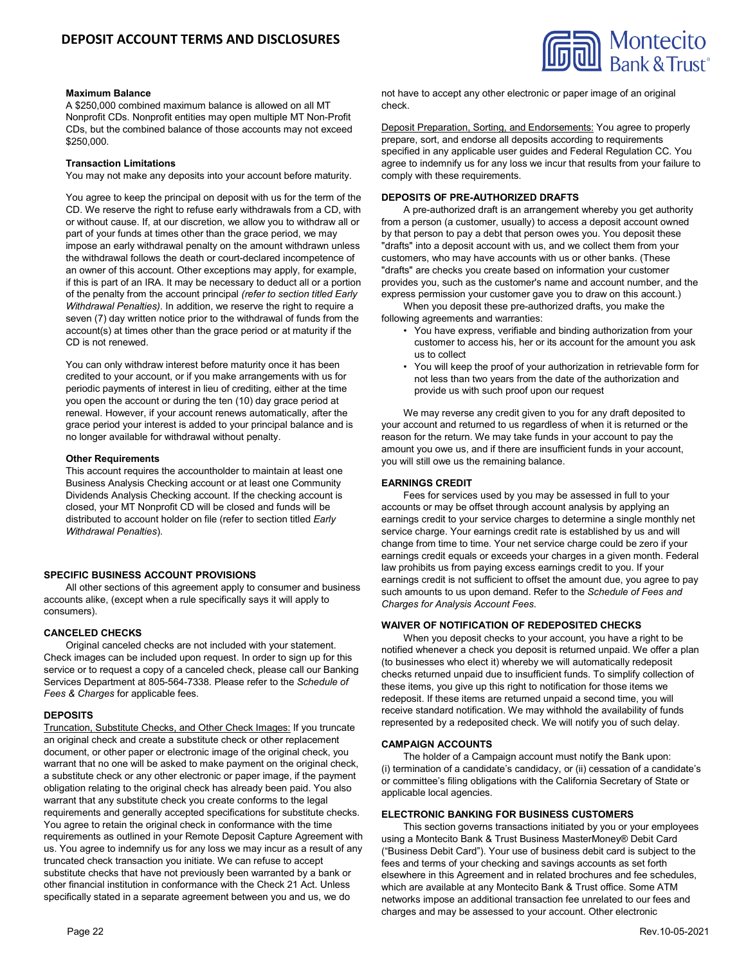

### **Maximum Balance**

A \$250,000 combined maximum balance is allowed on all MT Nonprofit CDs. Nonprofit entities may open multiple MT Non-Profit CDs, but the combined balance of those accounts may not exceed \$250,000.

### **Transaction Limitations**

You may not make any deposits into your account before maturity.

You agree to keep the principal on deposit with us for the term of the CD. We reserve the right to refuse early withdrawals from a CD, with or without cause. If, at our discretion, we allow you to withdraw all or part of your funds at times other than the grace period, we may impose an early withdrawal penalty on the amount withdrawn unless the withdrawal follows the death or court-declared incompetence of an owner of this account. Other exceptions may apply, for example, if this is part of an IRA. It may be necessary to deduct all or a portion of the penalty from the account principal *(refer to section titled Early Withdrawal Penalties)*. In addition, we reserve the right to require a seven (7) day written notice prior to the withdrawal of funds from the account(s) at times other than the grace period or at maturity if the CD is not renewed.

You can only withdraw interest before maturity once it has been credited to your account, or if you make arrangements with us for periodic payments of interest in lieu of crediting, either at the time you open the account or during the ten (10) day grace period at renewal. However, if your account renews automatically, after the grace period your interest is added to your principal balance and is no longer available for withdrawal without penalty.

### **Other Requirements**

This account requires the accountholder to maintain at least one Business Analysis Checking account or at least one Community Dividends Analysis Checking account. If the checking account is closed, your MT Nonprofit CD will be closed and funds will be distributed to account holder on file (refer to section titled *Early Withdrawal Penalties*).

### **SPECIFIC BUSINESS ACCOUNT PROVISIONS**

All other sections of this agreement apply to consumer and business accounts alike, (except when a rule specifically says it will apply to consumers).

### **CANCELED CHECKS**

Original canceled checks are not included with your statement. Check images can be included upon request. In order to sign up for this service or to request a copy of a canceled check, please call our Banking Services Department at 805-564-7338. Please refer to the *Schedule of Fees & Charges* for applicable fees.

### **DEPOSITS**

Truncation, Substitute Checks, and Other Check Images: If you truncate an original check and create a substitute check or other replacement document, or other paper or electronic image of the original check, you warrant that no one will be asked to make payment on the original check, a substitute check or any other electronic or paper image, if the payment obligation relating to the original check has already been paid. You also warrant that any substitute check you create conforms to the legal requirements and generally accepted specifications for substitute checks. You agree to retain the original check in conformance with the time requirements as outlined in your Remote Deposit Capture Agreement with us. You agree to indemnify us for any loss we may incur as a result of any truncated check transaction you initiate. We can refuse to accept substitute checks that have not previously been warranted by a bank or other financial institution in conformance with the Check 21 Act. Unless specifically stated in a separate agreement between you and us, we do

not have to accept any other electronic or paper image of an original check.

Deposit Preparation, Sorting, and Endorsements: You agree to properly prepare, sort, and endorse all deposits according to requirements specified in any applicable user guides and Federal Regulation CC. You agree to indemnify us for any loss we incur that results from your failure to comply with these requirements.

### **DEPOSITS OF PRE-AUTHORIZED DRAFTS**

A pre-authorized draft is an arrangement whereby you get authority from a person (a customer, usually) to access a deposit account owned by that person to pay a debt that person owes you. You deposit these "drafts" into a deposit account with us, and we collect them from your customers, who may have accounts with us or other banks. (These "drafts" are checks you create based on information your customer provides you, such as the customer's name and account number, and the express permission your customer gave you to draw on this account.)

When you deposit these pre-authorized drafts, you make the following agreements and warranties:

- You have express, verifiable and binding authorization from your customer to access his, her or its account for the amount you ask us to collect
- You will keep the proof of your authorization in retrievable form for not less than two years from the date of the authorization and provide us with such proof upon our request

We may reverse any credit given to you for any draft deposited to your account and returned to us regardless of when it is returned or the reason for the return. We may take funds in your account to pay the amount you owe us, and if there are insufficient funds in your account, you will still owe us the remaining balance.

## **EARNINGS CREDIT**

Fees for services used by you may be assessed in full to your accounts or may be offset through account analysis by applying an earnings credit to your service charges to determine a single monthly net service charge. Your earnings credit rate is established by us and will change from time to time. Your net service charge could be zero if your earnings credit equals or exceeds your charges in a given month. Federal law prohibits us from paying excess earnings credit to you. If your earnings credit is not sufficient to offset the amount due, you agree to pay such amounts to us upon demand. Refer to the *Schedule of Fees and Charges for Analysis Account Fees*.

### **WAIVER OF NOTIFICATION OF REDEPOSITED CHECKS**

When you deposit checks to your account, you have a right to be notified whenever a check you deposit is returned unpaid. We offer a plan (to businesses who elect it) whereby we will automatically redeposit checks returned unpaid due to insufficient funds. To simplify collection of these items, you give up this right to notification for those items we redeposit. If these items are returned unpaid a second time, you will receive standard notification. We may withhold the availability of funds represented by a redeposited check. We will notify you of such delay.

### **CAMPAIGN ACCOUNTS**

The holder of a Campaign account must notify the Bank upon: (i) termination of a candidate's candidacy, or (ii) cessation of a candidate's or committee's filing obligations with the California Secretary of State or applicable local agencies.

### **ELECTRONIC BANKING FOR BUSINESS CUSTOMERS**

This section governs transactions initiated by you or your employees using a Montecito Bank & Trust Business MasterMoney® Debit Card ("Business Debit Card"). Your use of business debit card is subject to the fees and terms of your checking and savings accounts as set forth elsewhere in this Agreement and in related brochures and fee schedules, which are available at any Montecito Bank & Trust office. Some ATM networks impose an additional transaction fee unrelated to our fees and charges and may be assessed to your account. Other electronic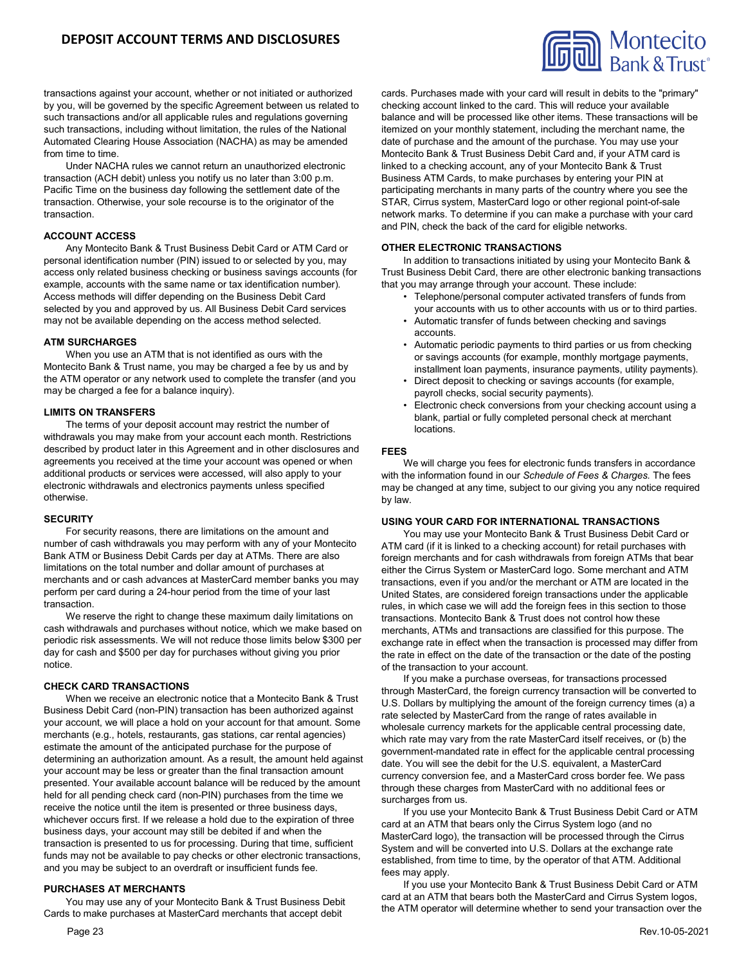

transactions against your account, whether or not initiated or authorized by you, will be governed by the specific Agreement between us related to such transactions and/or all applicable rules and regulations governing such transactions, including without limitation, the rules of the National Automated Clearing House Association (NACHA) as may be amended from time to time.

Under NACHA rules we cannot return an unauthorized electronic transaction (ACH debit) unless you notify us no later than 3:00 p.m. Pacific Time on the business day following the settlement date of the transaction. Otherwise, your sole recourse is to the originator of the transaction.

# **ACCOUNT ACCESS**

Any Montecito Bank & Trust Business Debit Card or ATM Card or personal identification number (PIN) issued to or selected by you, may access only related business checking or business savings accounts (for example, accounts with the same name or tax identification number). Access methods will differ depending on the Business Debit Card selected by you and approved by us. All Business Debit Card services may not be available depending on the access method selected.

### **ATM SURCHARGES**

When you use an ATM that is not identified as ours with the Montecito Bank & Trust name, you may be charged a fee by us and by the ATM operator or any network used to complete the transfer (and you may be charged a fee for a balance inquiry).

### **LIMITS ON TRANSFERS**

The terms of your deposit account may restrict the number of withdrawals you may make from your account each month. Restrictions described by product later in this Agreement and in other disclosures and agreements you received at the time your account was opened or when additional products or services were accessed, will also apply to your electronic withdrawals and electronics payments unless specified otherwise.

### **SECURITY**

For security reasons, there are limitations on the amount and number of cash withdrawals you may perform with any of your Montecito Bank ATM or Business Debit Cards per day at ATMs. There are also limitations on the total number and dollar amount of purchases at merchants and or cash advances at MasterCard member banks you may perform per card during a 24-hour period from the time of your last transaction.

We reserve the right to change these maximum daily limitations on cash withdrawals and purchases without notice, which we make based on periodic risk assessments. We will not reduce those limits below \$300 per day for cash and \$500 per day for purchases without giving you prior notice.

### **CHECK CARD TRANSACTIONS**

When we receive an electronic notice that a Montecito Bank & Trust Business Debit Card (non-PIN) transaction has been authorized against your account, we will place a hold on your account for that amount. Some merchants (e.g., hotels, restaurants, gas stations, car rental agencies) estimate the amount of the anticipated purchase for the purpose of determining an authorization amount. As a result, the amount held against your account may be less or greater than the final transaction amount presented. Your available account balance will be reduced by the amount held for all pending check card (non-PIN) purchases from the time we receive the notice until the item is presented or three business days, whichever occurs first. If we release a hold due to the expiration of three business days, your account may still be debited if and when the transaction is presented to us for processing. During that time, sufficient funds may not be available to pay checks or other electronic transactions, and you may be subject to an overdraft or insufficient funds fee.

#### **PURCHASES AT MERCHANTS**

You may use any of your Montecito Bank & Trust Business Debit Cards to make purchases at MasterCard merchants that accept debit

cards. Purchases made with your card will result in debits to the "primary" checking account linked to the card. This will reduce your available balance and will be processed like other items. These transactions will be itemized on your monthly statement, including the merchant name, the date of purchase and the amount of the purchase. You may use your Montecito Bank & Trust Business Debit Card and, if your ATM card is linked to a checking account, any of your Montecito Bank & Trust Business ATM Cards, to make purchases by entering your PIN at participating merchants in many parts of the country where you see the STAR, Cirrus system, MasterCard logo or other regional point-of-sale network marks. To determine if you can make a purchase with your card and PIN, check the back of the card for eligible networks.

### **OTHER ELECTRONIC TRANSACTIONS**

In addition to transactions initiated by using your Montecito Bank & Trust Business Debit Card, there are other electronic banking transactions that you may arrange through your account. These include:

- Telephone/personal computer activated transfers of funds from your accounts with us to other accounts with us or to third parties.
- Automatic transfer of funds between checking and savings accounts.
- Automatic periodic payments to third parties or us from checking or savings accounts (for example, monthly mortgage payments, installment loan payments, insurance payments, utility payments).
- Direct deposit to checking or savings accounts (for example, payroll checks, social security payments).
- Electronic check conversions from your checking account using a blank, partial or fully completed personal check at merchant locations.

#### **FEES**

We will charge you fees for electronic funds transfers in accordance with the information found in our *Schedule of Fees & Charges.* The fees may be changed at any time, subject to our giving you any notice required by law.

#### **USING YOUR CARD FOR INTERNATIONAL TRANSACTIONS**

You may use your Montecito Bank & Trust Business Debit Card or ATM card (if it is linked to a checking account) for retail purchases with foreign merchants and for cash withdrawals from foreign ATMs that bear either the Cirrus System or MasterCard logo. Some merchant and ATM transactions, even if you and/or the merchant or ATM are located in the United States, are considered foreign transactions under the applicable rules, in which case we will add the foreign fees in this section to those transactions. Montecito Bank & Trust does not control how these merchants, ATMs and transactions are classified for this purpose. The exchange rate in effect when the transaction is processed may differ from the rate in effect on the date of the transaction or the date of the posting of the transaction to your account.

If you make a purchase overseas, for transactions processed through MasterCard, the foreign currency transaction will be converted to U.S. Dollars by multiplying the amount of the foreign currency times (a) a rate selected by MasterCard from the range of rates available in wholesale currency markets for the applicable central processing date, which rate may vary from the rate MasterCard itself receives, or (b) the government-mandated rate in effect for the applicable central processing date. You will see the debit for the U.S. equivalent, a MasterCard currency conversion fee, and a MasterCard cross border fee. We pass through these charges from MasterCard with no additional fees or surcharges from us.

If you use your Montecito Bank & Trust Business Debit Card or ATM card at an ATM that bears only the Cirrus System logo (and no MasterCard logo), the transaction will be processed through the Cirrus System and will be converted into U.S. Dollars at the exchange rate established, from time to time, by the operator of that ATM. Additional fees may apply.

If you use your Montecito Bank & Trust Business Debit Card or ATM card at an ATM that bears both the MasterCard and Cirrus System logos, the ATM operator will determine whether to send your transaction over the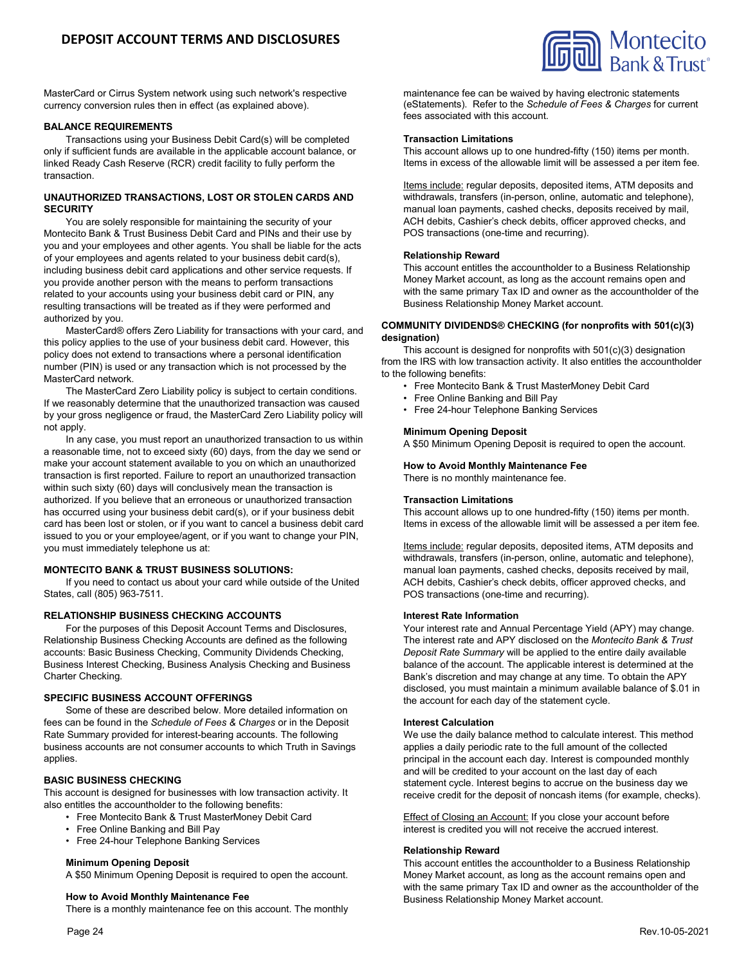

MasterCard or Cirrus System network using such network's respective currency conversion rules then in effect (as explained above).

### **BALANCE REQUIREMENTS**

Transactions using your Business Debit Card(s) will be completed only if sufficient funds are available in the applicable account balance, or linked Ready Cash Reserve (RCR) credit facility to fully perform the transaction.

### **UNAUTHORIZED TRANSACTIONS, LOST OR STOLEN CARDS AND SECURITY**

You are solely responsible for maintaining the security of your Montecito Bank & Trust Business Debit Card and PINs and their use by you and your employees and other agents. You shall be liable for the acts of your employees and agents related to your business debit card(s), including business debit card applications and other service requests. If you provide another person with the means to perform transactions related to your accounts using your business debit card or PIN, any resulting transactions will be treated as if they were performed and authorized by you.

MasterCard® offers Zero Liability for transactions with your card, and this policy applies to the use of your business debit card. However, this policy does not extend to transactions where a personal identification number (PIN) is used or any transaction which is not processed by the MasterCard network.

The MasterCard Zero Liability policy is subject to certain conditions. If we reasonably determine that the unauthorized transaction was caused by your gross negligence or fraud, the MasterCard Zero Liability policy will not apply.

In any case, you must report an unauthorized transaction to us within a reasonable time, not to exceed sixty (60) days, from the day we send or make your account statement available to you on which an unauthorized transaction is first reported. Failure to report an unauthorized transaction within such sixty (60) days will conclusively mean the transaction is authorized. If you believe that an erroneous or unauthorized transaction has occurred using your business debit card(s), or if your business debit card has been lost or stolen, or if you want to cancel a business debit card issued to you or your employee/agent, or if you want to change your PIN, you must immediately telephone us at:

### **MONTECITO BANK & TRUST BUSINESS SOLUTIONS:**

If you need to contact us about your card while outside of the United States, call (805) 963-7511.

### **RELATIONSHIP BUSINESS CHECKING ACCOUNTS**

For the purposes of this Deposit Account Terms and Disclosures, Relationship Business Checking Accounts are defined as the following accounts: Basic Business Checking, Community Dividends Checking, Business Interest Checking, Business Analysis Checking and Business Charter Checking.

### **SPECIFIC BUSINESS ACCOUNT OFFERINGS**

Some of these are described below. More detailed information on fees can be found in the *Schedule of Fees & Charges* or in the Deposit Rate Summary provided for interest-bearing accounts. The following business accounts are not consumer accounts to which Truth in Savings applies.

### **BASIC BUSINESS CHECKING**

This account is designed for businesses with low transaction activity. It also entitles the accountholder to the following benefits:

- Free Montecito Bank & Trust MasterMoney Debit Card
- Free Online Banking and Bill Pay
- Free 24-hour Telephone Banking Services

#### **Minimum Opening Deposit**

A \$50 Minimum Opening Deposit is required to open the account.

#### **How to Avoid Monthly Maintenance Fee**

There is a monthly maintenance fee on this account. The monthly

maintenance fee can be waived by having electronic statements (eStatements). Refer to the *Schedule of Fees & Charges* for current fees associated with this account.

# **Transaction Limitations**

This account allows up to one hundred-fifty (150) items per month. Items in excess of the allowable limit will be assessed a per item fee.

Items include: regular deposits, deposited items, ATM deposits and withdrawals, transfers (in-person, online, automatic and telephone), manual loan payments, cashed checks, deposits received by mail, ACH debits, Cashier's check debits, officer approved checks, and POS transactions (one-time and recurring).

### **Relationship Reward**

This account entitles the accountholder to a Business Relationship Money Market account, as long as the account remains open and with the same primary Tax ID and owner as the accountholder of the Business Relationship Money Market account.

### **COMMUNITY DIVIDENDS® CHECKING (for nonprofits with 501(c)(3) designation)**

This account is designed for nonprofits with 501(c)(3) designation from the IRS with low transaction activity. It also entitles the accountholder to the following benefits:

- Free Montecito Bank & Trust MasterMoney Debit Card
- Free Online Banking and Bill Pay
- Free 24-hour Telephone Banking Services

### **Minimum Opening Deposit**

A \$50 Minimum Opening Deposit is required to open the account.

#### **How to Avoid Monthly Maintenance Fee** There is no monthly maintenance fee.

#### **Transaction Limitations**

This account allows up to one hundred-fifty (150) items per month. Items in excess of the allowable limit will be assessed a per item fee.

Items include: regular deposits, deposited items, ATM deposits and withdrawals, transfers (in-person, online, automatic and telephone), manual loan payments, cashed checks, deposits received by mail, ACH debits, Cashier's check debits, officer approved checks, and POS transactions (one-time and recurring).

#### **Interest Rate Information**

Your interest rate and Annual Percentage Yield (APY) may change. The interest rate and APY disclosed on the *Montecito Bank & Trust Deposit Rate Summary* will be applied to the entire daily available balance of the account. The applicable interest is determined at the Bank's discretion and may change at any time. To obtain the APY disclosed, you must maintain a minimum available balance of \$.01 in the account for each day of the statement cycle.

#### **Interest Calculation**

We use the daily balance method to calculate interest. This method applies a daily periodic rate to the full amount of the collected principal in the account each day. Interest is compounded monthly and will be credited to your account on the last day of each statement cycle. Interest begins to accrue on the business day we receive credit for the deposit of noncash items (for example, checks).

Effect of Closing an Account: If you close your account before interest is credited you will not receive the accrued interest.

### **Relationship Reward**

This account entitles the accountholder to a Business Relationship Money Market account, as long as the account remains open and with the same primary Tax ID and owner as the accountholder of the Business Relationship Money Market account.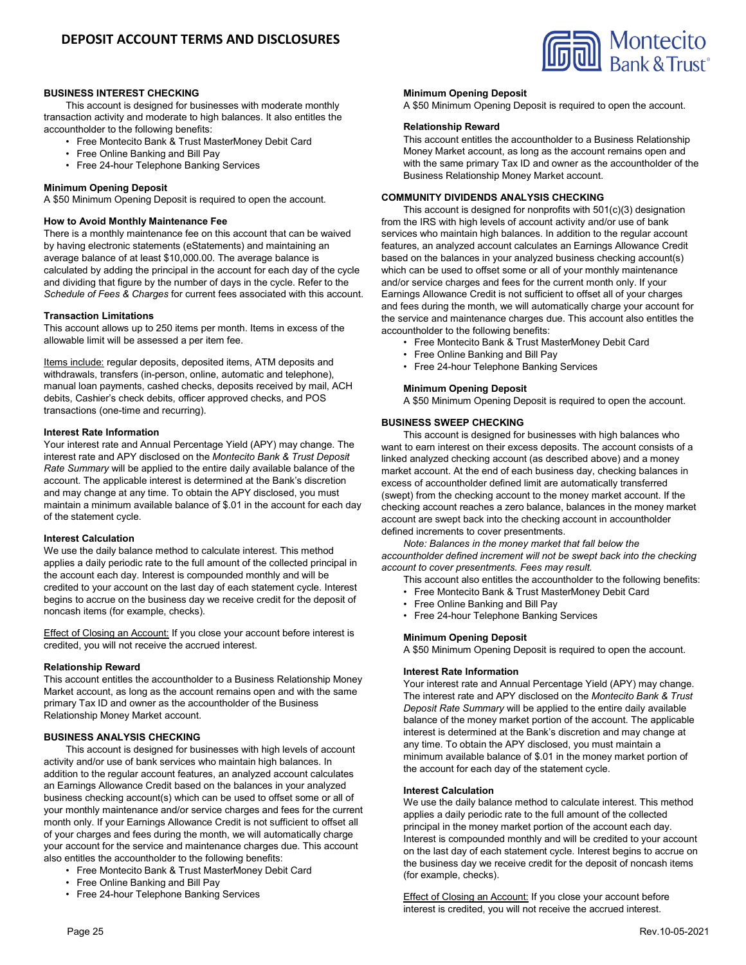

# **BUSINESS INTEREST CHECKING**

This account is designed for businesses with moderate monthly transaction activity and moderate to high balances. It also entitles the accountholder to the following benefits:

- Free Montecito Bank & Trust MasterMoney Debit Card
- Free Online Banking and Bill Pay
- Free 24-hour Telephone Banking Services

### **Minimum Opening Deposit**

A \$50 Minimum Opening Deposit is required to open the account.

### **How to Avoid Monthly Maintenance Fee**

There is a monthly maintenance fee on this account that can be waived by having electronic statements (eStatements) and maintaining an average balance of at least \$10,000.00. The average balance is calculated by adding the principal in the account for each day of the cycle and dividing that figure by the number of days in the cycle. Refer to the *Schedule of Fees & Charges* for current fees associated with this account.

### **Transaction Limitations**

This account allows up to 250 items per month. Items in excess of the allowable limit will be assessed a per item fee.

Items include: regular deposits, deposited items, ATM deposits and withdrawals, transfers (in-person, online, automatic and telephone), manual loan payments, cashed checks, deposits received by mail, ACH debits, Cashier's check debits, officer approved checks, and POS transactions (one-time and recurring).

### **Interest Rate Information**

Your interest rate and Annual Percentage Yield (APY) may change. The interest rate and APY disclosed on the *Montecito Bank & Trust Deposit Rate Summary* will be applied to the entire daily available balance of the account. The applicable interest is determined at the Bank's discretion and may change at any time. To obtain the APY disclosed, you must maintain a minimum available balance of \$.01 in the account for each day of the statement cycle.

### **Interest Calculation**

We use the daily balance method to calculate interest. This method applies a daily periodic rate to the full amount of the collected principal in the account each day. Interest is compounded monthly and will be credited to your account on the last day of each statement cycle. Interest begins to accrue on the business day we receive credit for the deposit of noncash items (for example, checks).

Effect of Closing an Account: If you close your account before interest is credited, you will not receive the accrued interest.

#### **Relationship Reward**

This account entitles the accountholder to a Business Relationship Money Market account, as long as the account remains open and with the same primary Tax ID and owner as the accountholder of the Business Relationship Money Market account.

## **BUSINESS ANALYSIS CHECKING**

This account is designed for businesses with high levels of account activity and/or use of bank services who maintain high balances. In addition to the regular account features, an analyzed account calculates an Earnings Allowance Credit based on the balances in your analyzed business checking account(s) which can be used to offset some or all of your monthly maintenance and/or service charges and fees for the current month only. If your Earnings Allowance Credit is not sufficient to offset all of your charges and fees during the month, we will automatically charge your account for the service and maintenance charges due. This account also entitles the accountholder to the following benefits:

- Free Montecito Bank & Trust MasterMoney Debit Card
- Free Online Banking and Bill Pay
- Free 24-hour Telephone Banking Services

### **Minimum Opening Deposit**

A \$50 Minimum Opening Deposit is required to open the account.

### **Relationship Reward**

This account entitles the accountholder to a Business Relationship Money Market account, as long as the account remains open and with the same primary Tax ID and owner as the accountholder of the Business Relationship Money Market account.

# **COMMUNITY DIVIDENDS ANALYSIS CHECKING**

This account is designed for nonprofits with 501(c)(3) designation from the IRS with high levels of account activity and/or use of bank services who maintain high balances. In addition to the regular account features, an analyzed account calculates an Earnings Allowance Credit based on the balances in your analyzed business checking account(s) which can be used to offset some or all of your monthly maintenance and/or service charges and fees for the current month only. If your Earnings Allowance Credit is not sufficient to offset all of your charges and fees during the month, we will automatically charge your account for the service and maintenance charges due. This account also entitles the accountholder to the following benefits:

- Free Montecito Bank & Trust MasterMoney Debit Card
- Free Online Banking and Bill Pay
- Free 24-hour Telephone Banking Services

### **Minimum Opening Deposit**

A \$50 Minimum Opening Deposit is required to open the account.

### **BUSINESS SWEEP CHECKING**

This account is designed for businesses with high balances who want to earn interest on their excess deposits. The account consists of a linked analyzed checking account (as described above) and a money market account. At the end of each business day, checking balances in excess of accountholder defined limit are automatically transferred (swept) from the checking account to the money market account. If the checking account reaches a zero balance, balances in the money market account are swept back into the checking account in accountholder defined increments to cover presentments.

*Note: Balances in the money market that fall below the*

*accountholder defined increment will not be swept back into the checking account to cover presentments. Fees may result.*

- This account also entitles the accountholder to the following benefits:
- Free Montecito Bank & Trust MasterMoney Debit Card
- Free Online Banking and Bill Pay
	- Free 24-hour Telephone Banking Services

# **Minimum Opening Deposit**

A \$50 Minimum Opening Deposit is required to open the account.

#### **Interest Rate Information**

Your interest rate and Annual Percentage Yield (APY) may change. The interest rate and APY disclosed on the *Montecito Bank & Trust Deposit Rate Summary* will be applied to the entire daily available balance of the money market portion of the account. The applicable interest is determined at the Bank's discretion and may change at any time. To obtain the APY disclosed, you must maintain a minimum available balance of \$.01 in the money market portion of the account for each day of the statement cycle.

#### **Interest Calculation**

We use the daily balance method to calculate interest. This method applies a daily periodic rate to the full amount of the collected principal in the money market portion of the account each day. Interest is compounded monthly and will be credited to your account on the last day of each statement cycle. Interest begins to accrue on the business day we receive credit for the deposit of noncash items (for example, checks).

Effect of Closing an Account: If you close your account before interest is credited, you will not receive the accrued interest.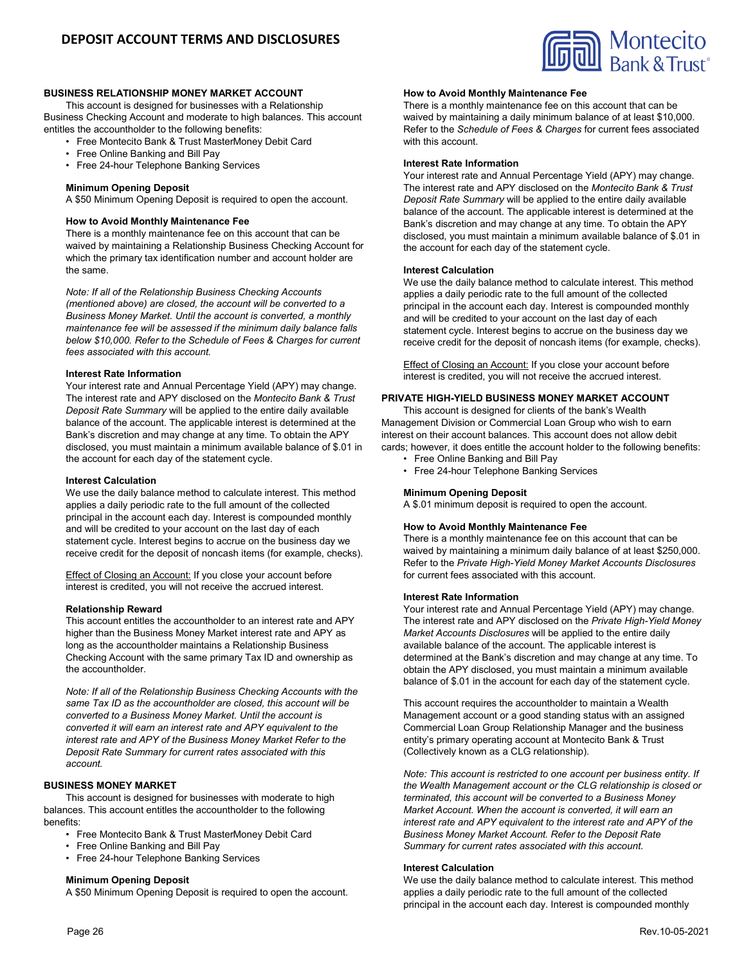

### **BUSINESS RELATIONSHIP MONEY MARKET ACCOUNT**

This account is designed for businesses with a Relationship Business Checking Account and moderate to high balances. This account entitles the accountholder to the following benefits:

- Free Montecito Bank & Trust MasterMoney Debit Card
- Free Online Banking and Bill Pay
- Free 24-hour Telephone Banking Services

### **Minimum Opening Deposit**

A \$50 Minimum Opening Deposit is required to open the account.

### **How to Avoid Monthly Maintenance Fee**

There is a monthly maintenance fee on this account that can be waived by maintaining a Relationship Business Checking Account for which the primary tax identification number and account holder are the same.

*Note: If all of the Relationship Business Checking Accounts (mentioned above) are closed, the account will be converted to a Business Money Market. Until the account is converted, a monthly maintenance fee will be assessed if the minimum daily balance falls below \$10,000. Refer to the Schedule of Fees & Charges for current fees associated with this account.*

# **Interest Rate Information**

Your interest rate and Annual Percentage Yield (APY) may change. The interest rate and APY disclosed on the *Montecito Bank & Trust Deposit Rate Summary* will be applied to the entire daily available balance of the account. The applicable interest is determined at the Bank's discretion and may change at any time. To obtain the APY disclosed, you must maintain a minimum available balance of \$.01 in the account for each day of the statement cycle.

### **Interest Calculation**

We use the daily balance method to calculate interest. This method applies a daily periodic rate to the full amount of the collected principal in the account each day. Interest is compounded monthly and will be credited to your account on the last day of each statement cycle. Interest begins to accrue on the business day we receive credit for the deposit of noncash items (for example, checks).

**Effect of Closing an Account:** If you close your account before interest is credited, you will not receive the accrued interest.

### **Relationship Reward**

This account entitles the accountholder to an interest rate and APY higher than the Business Money Market interest rate and APY as long as the accountholder maintains a Relationship Business Checking Account with the same primary Tax ID and ownership as the accountholder.

*Note: If all of the Relationship Business Checking Accounts with the same Tax ID as the accountholder are closed, this account will be converted to a Business Money Market. Until the account is converted it will earn an interest rate and APY equivalent to the interest rate and APY of the Business Money Market Refer to the Deposit Rate Summary for current rates associated with this account.*

### **BUSINESS MONEY MARKET**

This account is designed for businesses with moderate to high balances. This account entitles the accountholder to the following benefits:

- Free Montecito Bank & Trust MasterMoney Debit Card
- Free Online Banking and Bill Pay
- Free 24-hour Telephone Banking Services

### **Minimum Opening Deposit**

A \$50 Minimum Opening Deposit is required to open the account.

### **How to Avoid Monthly Maintenance Fee**

There is a monthly maintenance fee on this account that can be waived by maintaining a daily minimum balance of at least \$10,000. Refer to the *Schedule of Fees & Charges* for current fees associated with this account.

#### **Interest Rate Information**

Your interest rate and Annual Percentage Yield (APY) may change. The interest rate and APY disclosed on the *Montecito Bank & Trust Deposit Rate Summary* will be applied to the entire daily available balance of the account. The applicable interest is determined at the Bank's discretion and may change at any time. To obtain the APY disclosed, you must maintain a minimum available balance of \$.01 in the account for each day of the statement cycle.

### **Interest Calculation**

We use the daily balance method to calculate interest. This method applies a daily periodic rate to the full amount of the collected principal in the account each day. Interest is compounded monthly and will be credited to your account on the last day of each statement cycle. Interest begins to accrue on the business day we receive credit for the deposit of noncash items (for example, checks).

Effect of Closing an Account: If you close your account before interest is credited, you will not receive the accrued interest.

# **PRIVATE HIGH-YIELD BUSINESS MONEY MARKET ACCOUNT**

This account is designed for clients of the bank's Wealth Management Division or Commercial Loan Group who wish to earn interest on their account balances. This account does not allow debit cards; however, it does entitle the account holder to the following benefits:

- Free Online Banking and Bill Pay
- Free 24-hour Telephone Banking Services

### **Minimum Opening Deposit**

A \$.01 minimum deposit is required to open the account.

# **How to Avoid Monthly Maintenance Fee**

There is a monthly maintenance fee on this account that can be waived by maintaining a minimum daily balance of at least \$250,000. Refer to the *Private High-Yield Money Market Accounts Disclosures*  for current fees associated with this account.

#### **Interest Rate Information**

Your interest rate and Annual Percentage Yield (APY) may change. The interest rate and APY disclosed on the *Private High-Yield Money Market Accounts Disclosures* will be applied to the entire daily available balance of the account. The applicable interest is determined at the Bank's discretion and may change at any time. To obtain the APY disclosed, you must maintain a minimum available balance of \$.01 in the account for each day of the statement cycle.

This account requires the accountholder to maintain a Wealth Management account or a good standing status with an assigned Commercial Loan Group Relationship Manager and the business entity's primary operating account at Montecito Bank & Trust (Collectively known as a CLG relationship).

*Note: This account is restricted to one account per business entity. If the Wealth Management account or the CLG relationship is closed or terminated, this account will be converted to a Business Money Market Account. When the account is converted, it will earn an interest rate and APY equivalent to the interest rate and APY of the Business Money Market Account. Refer to the Deposit Rate Summary for current rates associated with this account.*

#### **Interest Calculation**

We use the daily balance method to calculate interest. This method applies a daily periodic rate to the full amount of the collected principal in the account each day. Interest is compounded monthly